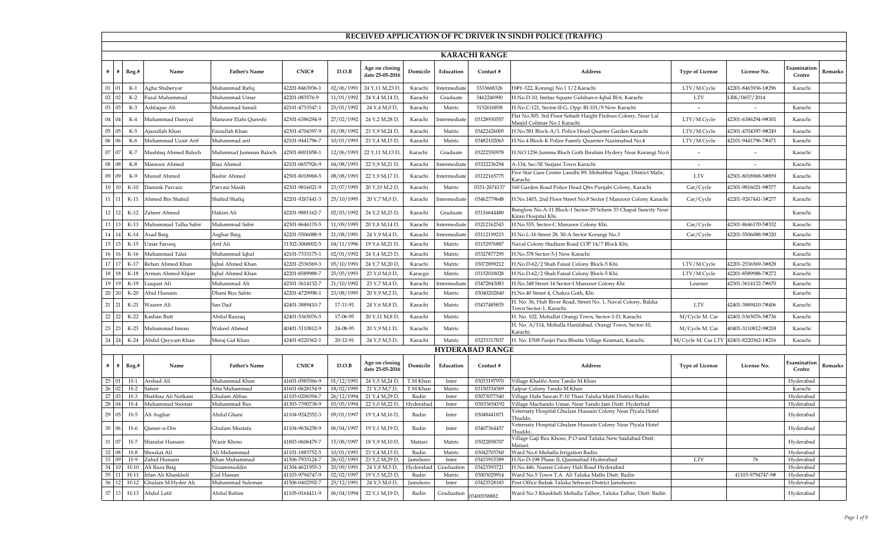|          |                     |                 |                                |                               |                                    |                          |                                     |                       |                     |                            | RECEIVED APPLICATION OF PC DRIVER IN SINDH POLICE (TRAFFIC)                                  |                        |                     |                        |                |
|----------|---------------------|-----------------|--------------------------------|-------------------------------|------------------------------------|--------------------------|-------------------------------------|-----------------------|---------------------|----------------------------|----------------------------------------------------------------------------------------------|------------------------|---------------------|------------------------|----------------|
|          |                     |                 |                                |                               |                                    |                          |                                     |                       |                     |                            |                                                                                              |                        |                     |                        |                |
|          |                     |                 |                                |                               |                                    |                          |                                     |                       |                     | <b>KARACHI RANGE</b>       |                                                                                              |                        |                     |                        |                |
|          | #   #   Reg.#       |                 | Name                           | <b>Father's Name</b>          | CNIC#                              | D.O.B                    | Age on closing<br>date 25-05-2016   | Domicile              | Education           | Contact #                  | <b>Address</b>                                                                               | <b>Type of License</b> | License No.         | Examination<br>Centre  | Remarks        |
| 01       |                     | $K-1$           | Agha Shaheryar                 | Muhammad Rafiq                | 42201-8463936-1                    | 02/06/1991               | 24 Y,11 M,23 D,                     | Karachi               | Intermediate        | 3333668326                 | H#Y-322, Korangi No.1 1/2 Karachi                                                            | LTV/M.Cycle            | 42201-8463936-1#296 | Karachi                |                |
| 02       |                     | $K-2$           | azal Muhammad                  | Muhammad Umar                 | 42201-083576-9                     | 11/01/1992               | 24 Y, 4 M, 14 D,                    | Karachi               | Graduate            | 3462246990                 | H.No.D-10, Imitaz Square Gulshan-e-Iqbal Bl-6, Karachi                                       | <b>LTV</b>             | LRK/0657/2014       |                        |                |
| 03       |                     | $K-3$           | Ashfaque Ali                   | Muhammad Ismail               | 42101-4733547-1                    | 25/01/1992               | 24 Y, 4 M, 0 D,                     | Karachi               | Matric              | 3152616858                 | H.No.C-121, Sector-II-G, Opp: Bl-101/9 New Karachi                                           | $\sim$                 |                     | Karachi                |                |
| 04       |                     | K-4             | Auhammad Daniyal               | Manzoor Elahi Qureshi         | 42301-6386294-9                    | 27/02/1992               | 24 Y, 2 M, 28 D,                    | Karachi               | Intermediate        | 03128930557                | Flat No.305, 3rd Floor Sohaib Haight Firdous Colony, Near Lal<br>Masjid Colimar No.1 Karachi | LTV/M.Cycle            | 42301-6386294-9#301 | Karachi                |                |
| $05\,$   |                     | K-5             | Ajazullah Khan                 | Faizullah Khan                | 42301-4704397-9                    | 01/08/1992               | 23 Y, 9 M, 24 D,                    | Karachi               | Matric              | 03422426005                | H.No.581 Block-A/L Police Head Quarter Garden Karachi                                        | LTV/M.Cycle            | 42301-4704397-9#249 | Karachi                |                |
| 06       |                     | K-6             | Auhammad Uzair Arif            | Muhammad arif                 | 42101-9441796-7                    | 10/01/1993               | 23 Y, 4 M, 15 D,                    | Karachi               | Matric              | 03482102063                | H.No.4 Block-K Police Family Quareter Nazimabad No.4                                         | LTV/M.Cycle            | 42101-9441796-7#471 | Karachi                |                |
| 07       |                     | $K-7$           | Aushtaq Ahmed Baloch           | Muhmmad Jumman Baloch         | 12501-8001858-1                    | 12/06/1993               | 22 Y, 11 M, 13 D,                   | Karachi               | Graduate            | 03222550978                | H.NO.1256 Jumma Bloch Goth Ibrahim Hydery Near Korangi No.6                                  |                        |                     | Karachi                |                |
| 08       |                     | K-8             | Mansoor Ahmed                  | Riaz Ahmed                    | 42101-0657926-9                    | 04/08/1993               | 22 Y, 9 M, 21 D,                    | Karachi               | Intermediate        | 03322236294                | A-134, Sec-5E Surjani Town Karachi                                                           |                        |                     | Karachi                |                |
| 09       |                     | K-9             | Munsif Ahmed                   | <b>Bashir Ahmed</b>           | 42501-8018968-5                    | 08/08/1993               | 22 Y, 9 M, 17 D,                    | Karachi               | Intermediate        | 03122165775                | Five Star Gass Centre Landhi 89, Mohabbat Nagar, District Malir,<br>Karachi                  | <b>LTV</b>             | 42501-8018968-5#859 | Karachi                |                |
| 10       |                     | $K-10$          | Damink Parvaiz                 | Parvaiz Masih                 | 42301-9816021-9                    | 23/07/1995               | 20 Y, 10 M, 2 D,                    | Karachi               | Matric              | 0331-2674137               | 160 Garden Road Police Head Qtrs Punjabi Colony, Karachi                                     | Car/Cycle              | 42301-9816021-9#577 | Karachi                |                |
| 11       |                     | $K-11$          | Ahmed Bin Shahid               | Shahid Shafiq                 | 42201-9267441-3                    | 25/10/1995               | 20 Y,7 M,0 D,                       | Karachi               | Intermediate        | 03462779648                | H.No.1403, 2nd Floor Street No.8 Sector J Manzoor Colony Karachi                             | Car/Cycle              | 42201-9267441-3#277 | Karachi                |                |
| 12 I     |                     | $K-12$          | Zaheer Ahmed                   | Hakim Ali                     | 42201-9881162-7                    | 02/03/1992               | 24 Y, 2 M, 23 D,                    | Karachi               | Graduate            | 03116644480                | Bunglow No.A-11 Block-1 Sector-29 Schem 33 Chapal Suncity Near<br>Kiran Hospital Khi.        |                        |                     | Karachi                |                |
| 13       |                     | $K-13$          | Muhammad Talha Sabir           | Muhammad Sabir                | 42301-8646170-5                    | 11/09/1995               | 20 Y, 8 M, 14 D,                    | Karachi               | Intermediate        | 03212162543                | H.No.535, Sector-C Manzoor Colony Khi.                                                       | Car/Cycle              | 42301-8646170-5#332 | Karachi                |                |
| 14       |                     | $K-14$          | Asad Baig                      | Asghar Baig                   | 42201-5506088-9                    | 21/08/1991               | 24 Y, 9 M, 4 D,                     | Karachi               | Intermediate        | 03112199215                | H.No.L-16 Street 28, 50-A Sector Korangi No.3                                                | Car/Cycle              | 42201-5506088-9#320 | Karachi                |                |
| 15       |                     | $K-15$          | Jmar Farooq                    | Arif Ali                      | 31302-3068002-5                    | 04/11/1996               | 19 Y, 6 M, 21 D,                    | Karachi               | Matric              | 03152976887                | Naval Colony Stadium Road COP 14/7 Block Khi.                                                |                        |                     | Karachi                |                |
| 16       |                     | $K-16$          | Muhammad Talat                 | Muhammad Iqbal                | 42101-7333175-1                    | 02/01/1992               | 24 Y, 4 M, 23 D,                    | Karachi               | Matric              | 03327877295                | H.No.378 Sector-5-J New Karachi                                                              |                        |                     | Karachi                |                |
| 17       |                     | $K-17$          | Rehan Ahmed Khan               | Iqbal Ahmed Khan              | 42201-2536569-3                    | 05/10/1991               | 24 Y,7 M,20 D,                      | Karachi               | Matric              | 03072899212                | H.No.D-62/2 Shah Faisal Colony Block-5 Khi.                                                  | LTV/M.Cycle            | 42201-2536569-3#828 | Karachi                |                |
| 18       |                     | $K-18$          | Arman Ahmed Khjan              | Iqbal Ahmed Khan              | 42201-8589988-7                    | 25/05/1993               | 23 Y <sub>,0</sub> M,0 D            | Karacgu               | Matric              | 03152018028                | H.No.D-62/2 Shah Faisal Colony Block-5 Khi.                                                  | LTV/M.Cycle            | 42201-8589988-7#272 | Karachi                |                |
| 19       |                     | $K-19$          | iaquat Ali                     | Muhammad Ali                  | 42301-3614132-7                    | 21/10/1992               | 23 Y, 7 M, 4 D                      | Karachi               | Intermediat         | 03472843083                | H.No.348 Street 14 Sector-I Manzoor Colony Khi                                               | Learner                | 42301-3614132-7#670 | Karachi                |                |
| 20       |                     | $K-20$          | Abid Hussain                   | Dhani Bux Sahto               | 42201-4729998-1                    | 23/08/1995               | 20 Y, 9 M, 2 D                      | Karachi               | Matric              | 03040202840                | H.No.40 Street 4, Chakra Goth, Khi                                                           |                        |                     | Karachi                |                |
| 21       |                     | $K-21$          | Vazeer Ali                     | San Dad                       | 42401-3889410-7                    | 17-11-91                 | 24 Y,6 M,8 D,                       | Karachi               | Matric              | 03437485835                | H. No. 36, Hub River Road, Street No. 1, Naval Colony, Baldia<br>Town Sector-1, Karachi.     | <b>LTV</b>             | 42401-3889410-7#406 | Karachi                |                |
| $22\,$   |                     | $K-22$          | Kashan Butt                    | Abdul Razzaq                  | 42401-5365076-5                    | 17-06-95                 | 20 Y,11 M,8 D,                      | Karachi               | Matric              |                            | H. No. 102, Mohallat Orangi Town, Sector-1-D, Karachi.                                       | M/Cycle M. Car         | 42401-5365076-5#736 | Karachi                |                |
| 23       |                     | $K-23$          | Muhammad Imran                 | Wakeel Ahmed                  | 40401-3110812-9                    | 24-08-95                 | 20 Y, 9 M, 1 D,                     | Karachi               | Matric              |                            | H. No. A/114, Mohalla Hanifabad, Orangi Town, Sector-10,<br>Karachi.                         | M/Cycle M. Car         | 40401-3110812-9#218 | Karachi                |                |
| 24       |                     | $K-24$          | Abdul Qayyam Khan              | Meraj Gul Khan                | 42401-8220362-1                    | 20-12-91                 | 24 Y,5 M,5 D,                       | Karachi               | Matric              | 03233317837                | H. No. E508 Panjri Para Bhutta Village Keamari, Karachi.                                     | M/Cycle M. Car LTV     | 42401-8220362-1#216 | Karachi                |                |
|          |                     |                 |                                |                               |                                    |                          |                                     |                       |                     | <b>HYDERABAD RANGE</b>     |                                                                                              |                        |                     |                        |                |
|          | $\#$   $\#$   Reg.# |                 | Name                           | <b>Father's Name</b>          | CNIC#                              | D.O.B                    | Age on closing<br>date 25-05-2016   | Domicile              | Education           | Contact #                  | <b>Address</b>                                                                               | <b>Type of License</b> | License No.         | Examination<br>Centre  | <b>Remarks</b> |
| 25       |                     | $H-1$           | Arshad Ali                     | Muhammad Khan                 | 41601-0585566-9                    | 01/12/1991               | 24 Y,5 M,24 D,                      | T.M Khan              | Inter               | 03033197970                | Village Khalifo Area Tando M.Khan                                                            |                        |                     | Hyderabad              |                |
| 26<br>27 |                     | $H-2$<br>$H-3$  | Safeer<br>Shahbaz Ali Notkani  | Atta Muhammad<br>Ghulam Abbas | 41601-0628154-9<br>41103-0206594-7 | 18/02/1995<br>26/12/1994 | 21 Y, 3 M, 7 D,<br>21 Y, 4 M, 29 D, | T.M Khan<br>Badin     | Matric<br>Inter     | 03150334369<br>03073077540 | Talpur Colony Tando M.Khan<br>Village Hahi Sawan P-10 Thari Taluka Matti District Badin      |                        |                     | Karachi<br>Hyderabad   |                |
| 28       |                     |                 | Muhammad Soomar                | Muhammad Bux                  | 41303-7390738-9                    | 03/05/1994               | 22 Y, 0 M, 22 D,                    | Hyderabad             | Inter               | '03033654192               | Village Machando Umar, Near Tando Jam Distt: Hyderbad                                        |                        |                     | Hyderabad              |                |
| 29       |                     | $H-5$           | Ali Asghar                     | Abdul Ghani                   | 41104-9242552-3                    | 09/01/1997               | 19 Y, 4 M, 16 D,                    | Badin                 | Inter               | 03048441871                | Veternaty Hospital Ghulam Hussain Colony Near Piyala Hotel<br>Thuddo.                        |                        |                     | Hyderabad              |                |
| 30       |                     | $H-6$           | Qamer-u-Din                    | Ghulam Mustafa                | 41104-9636258-9                    | 06/04/1997               | 19 Y, 1 M, 19 D,                    | Badin                 | Inter               | 03407364457                | Veternaty Hospital Ghulam Hussain Colony Near Piyala Hotel<br>Thuddo.                        |                        |                     | Hyderabad              |                |
| 31       |                     | $H-7$           | Sharafat Hussain               | Wazir Khoso                   | 41803-0606479-7                    | 15/08/1997               | 18 Y, 9 M, 10 D,                    | Matiari               | Matric              | 03022858707                | Village Gaji Bux Khoso, P.O and Taluka New Saidabad Distt:<br>Matiari                        |                        |                     | Hyderabad              |                |
| 32       |                     | $H-8$           | Shoukat Ali                    | Ali Muhammad                  | 41101-1883752-5                    | 10/01/1993               | 23 Y, 4 M, 15 D,                    | Badin                 | Matric              | 03042703760                | Ward No.6 Muhalla Irrigation Badin                                                           |                        |                     | Hyderabad              |                |
| 33<br>34 |                     | $H-9$<br>$H-10$ | Zahid Hussain<br>Ali Raza Baig | Khan Muhammad<br>Nizammuddin  | 41306-7933124-7<br>41304-4621955-3 | 26/02/1993<br>20/09/1991 | 23 Y, 2 M, 29 D,<br>24 Y, 8 M, 5 D, | Jamshoro<br>Hyderabad | Inter<br>Graduation | 03433915389<br>03423593721 | H.No.D-198 Phase II, Qasimabad Hyderabad<br>H.No.446, Nusrat Colony Hali Road Hyderabad      | <b>LTV</b>             | 76                  | Hyderabad<br>Hyderabad |                |
| 35       |                     | $H-11$          | Irfan Ali Khaskheli            | Gul Hassan                    | 41103-9794747-9                    | 02/02/1997               | 19 Y, 3 M, 23 D,                    | Badin                 | Matric              | 0300302991                 | Ward No.5 Town T.A. Ali Taluka Mathi Distt: Badin                                            |                        | 41103-9794747-9#    | Hyderabad              |                |
| 36       |                     | $H-12$          | Ghulam M.Hyder Ali             | Muhammad Suleman              | 41506-0402592-7                    | 25/12/1991               | 24 Y,5 M,0 D                        | Jamshoro              | Inter               | 03423528183                | Post Office Bubak Taluka Sehwan District Jamshooro.                                          |                        |                     | Hyderabad              |                |
| 37       |                     |                 | H-13 Abdul Latif               | Abdul Rahim                   | 41105-0164411-9                    | 06/04/1994               | 22 Y, 1 M, 19 D,                    | Badin                 | Graduation          | 03400358882                | Ward No.3 Khaskheli Mohalla Talhor, Taluka Talhar, Distt: Badin                              |                        |                     | Hyderabad              |                |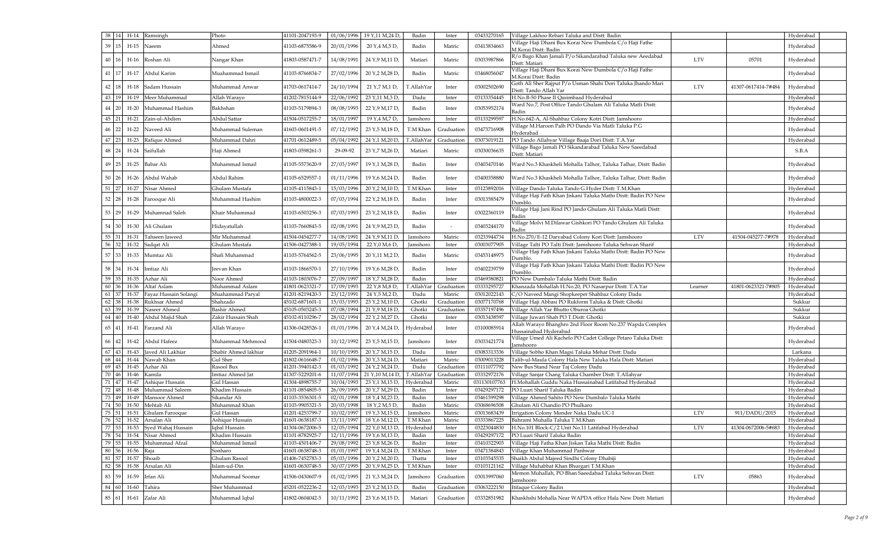|              | 38   14                 | H-14 Ramsingh         | Photo                | 41101-2047193-9 | 01/06/1996 | 19 Y, 11 M, 24 D              | Badin            | Inter      | 03433270165 | Village Lakhoo Rebari Taluka and Distt: Badin                                      |                     | Hyderabad |  |
|--------------|-------------------------|-----------------------|----------------------|-----------------|------------|-------------------------------|------------------|------------|-------------|------------------------------------------------------------------------------------|---------------------|-----------|--|
| 39 15        |                         | H-15 Naeem            | Ahmed                | 41103-6875586-9 | 20/01/1996 | 20 Y <sub>,</sub> 4 M,5 D,    | Badin            | Matric     | 03413834663 | Village Haji Dhani Bux Korai New Dumbola C/o Haji Fathe                            |                     | Hyderabad |  |
|              |                         |                       |                      |                 |            |                               |                  |            |             | M.Korai Distt: Badin                                                               |                     |           |  |
| 40 16        |                         | H-16 Roshan Ali       | Nangar Khan          | 41803-0587471-7 | 14/08/1991 | 24 Y, 9 M, 11 D,              | Matiari          | Matric     | 03033987866 | R/o Bago Khan Jamali P/o Sikandarabad Taluka new Aeedabad<br><b>LTV</b>            | 05701               | Hyderabad |  |
|              |                         |                       |                      |                 |            |                               |                  |            |             | Distt: Matiari<br>Village Haji Dhani Bux Korai New Dumbola C/o Haji Fathe          |                     |           |  |
| 41   17      |                         | H-17 Abdul Karim      | Muahammad Ismail     | 41103-8766834-7 | 27/02/1996 | 20 Y, 2 M, 28 D,              | Badin            | Matric     | 03468056047 | M.Korai Distt: Badin                                                               |                     | Hyderabad |  |
|              |                         |                       |                      |                 |            |                               |                  |            |             | Goth Ali Sher Rajput P/o Usman Shahi Dori Taluka Jhando Mari                       |                     |           |  |
| 42 18        |                         | H-18 Sadam Hussain    | Muhammad Anwar       | 41703-0617414-7 | 24/10/1994 | 21 Y,7 M,1 D,                 | T.AllahYar       | Inter      | 03002502690 | <b>LTV</b><br>Distt: Tando Allah Yar                                               | 41307-0617414-7#484 | Hyderabad |  |
| 43   19      |                         | H-19 Meer Muhammad    | Allah Warayo         | 41202-7815144-9 | 22/06/1992 | 23 Y,11 M,3 D,                | Dadu             | Inter      | 03133354445 | H.No.B-50 Phase II Qasimbaad Hyderabad                                             |                     | Hyderabad |  |
|              | <b>20</b>               | H-20 Muhammad Hashim  | Bakhshan             | 41103-5179894-3 | 08/08/1993 | 22 Y, 9 M, 17 D,              | Badin            | Inter      | 03053952174 | Ward No.7, Post Office Tando Ghulam Ali Taluka Matli Distt:                        |                     | Hyderabad |  |
|              |                         |                       |                      |                 |            |                               |                  |            |             | Badin                                                                              |                     |           |  |
| 45 21        |                         | H-21 Zain-ul-Abdien   | Abdul Sattar         | 41504-0517255-7 | 18/01/1997 | 19 Y, 4 M, 7 D,               | Jamshoro         | Inter      | 0313329959  | H.No.642-A, Al-Shahbaz Colony Kotri Distt: Jamshooro                               |                     | Hyderabad |  |
| 46 22        |                         | H-22 Naveed Ali       | Muhammad Suleman     | 41603-0601491-5 | 07/12/1992 | 23 Y,5 M,18 D,                | T.M Khan         | Graduation | 03473716908 | Village M.Haroon Palh PO Dando Via Matli Taluka P.G                                |                     | Hyderabad |  |
| 47 23        |                         | H-23 Rafique Ahmed    | Muhammad Dahri       | 41701-0612489-5 | 05/04/1992 | 24 Y,1 M,20 D,                | T.AllahYar       | Graduation | 03073019121 | Hyderabad<br>PO Tando Allahyar Village Baaja Dori Distt: T.A.Yar                   |                     | Hyderabad |  |
|              |                         |                       |                      |                 |            |                               |                  |            |             | Village Bago Jamali PO Sikandarabad Taluka New Saeedabad                           |                     |           |  |
| 48 24        |                         | H-24 Saifullah        | Haji Ahmed           | 41803-0598261-3 | 29-09-92   | 23 Y,7 M,26 D,                | Matiari          | Matric     | 03030036635 | Distt: Matiari                                                                     |                     | S.B.A     |  |
|              |                         |                       |                      |                 |            |                               |                  |            |             |                                                                                    |                     |           |  |
| 49           | 25<br>$H-25$            | Babar Ali             | Muhammad Ismail      | 41105-5573620-9 | 27/03/1997 | 19 Y, 1 M, 28 D,              | Badin            | Inter      | 03403470146 | Ward No.3 Khaskheli Mohalla Talhor, Taluka Talhar, Distt: Badin                    |                     | Hyderabad |  |
| 50           | <sup>26</sup>           | H-26 Abdul Wahab      | Abdul Rahim          | 41105-6529557-1 | 01/11/1996 | 19 Y, 6 M, 24 D,              | Badin            | Inter      | 03400358880 | Ward No.3 Khaskheli Mohalla Talhor, Taluka Talhar, Distt: Badin                    |                     | Hyderabad |  |
|              |                         |                       |                      |                 |            |                               |                  |            |             |                                                                                    |                     |           |  |
| $51 \mid 27$ |                         | H-27 Nisar Ahmed      | Ghulam Mustafa       | 41105-4115843-1 | 15/03/1996 | 20 Y, 2 M, 10 D,              | T.M Khan         | Inter      | 03123892016 | Village Dando Taluka Tando G.Hyder Distt: T.M.Khan                                 |                     | Hyderabad |  |
| $52 \mid 28$ |                         | H-28 Farooque Ali     | Muhammad Hashim      | 41103-4800022-3 | 07/03/1994 | 22 Y, 2 M, 18 D,              | Badin            | Inter      | 03013585479 | Village Haji Fath Khan Jiskani Taluka Mathi Distt: Badin PO New                    |                     | Hyderabad |  |
|              |                         |                       |                      |                 |            |                               |                  |            |             | Dumblo.<br>Village Haji Jani Rind PO Jando Ghulam Ali Taluka Matli Distt:          |                     |           |  |
| 53   29      |                         | H-29 Muhamnad Saleh   | Khair Muhammad       | 41103-6503256-3 | 07/03/1993 | 23 Y, 2 M, 18 D,              | Badin            | Inter      | 03022360119 | Badin                                                                              |                     | Hyderabad |  |
|              |                         |                       |                      |                 |            |                               |                  |            |             | .<br>Village Molvi M.Dilawar Gishkori PO Tando Ghulam Ali Taluka                   |                     |           |  |
| 54 30        |                         | H-30 Ali Ghulam       | Hidayatullah         | 41103-7660843-5 | 02/08/1991 | 24 Y, 9 M, 23 D,              | Badin            |            | 03403244170 | Badin                                                                              |                     | Hyderabad |  |
| 55 31        | $H-31$                  | Tahseen Jaweed        | Mir Muhammad         | 41504-0454277-7 | 14/08/1991 | 24 Y, 9 M, 11 D               | Jamshoro         | Matric     | 03233944734 | H.No.270/E-12 Daryabad Colony Kori Distt: Jamshooro<br><b>LTV</b>                  | 41504-045277-7#978  | Hyderabad |  |
| 56           | 32<br>$H-32$            | Sadqat Ali            | Ghulam Mustafa       | 41506-0427388-1 | 19/05/1994 | 22 Y, 0 M, 6 D,               | Jamshoro         | Inter      | 03003077905 | Village Talti PO Talti Distt: Jamshooro Taluka Sehwan Sharif                       |                     | Hyderabad |  |
| 57 33        |                         | H-33 Mumtaz Ali       | Shafi Muhammad       | 41103-5764562-5 | 23/06/1995 | 20 Y,11 M,2 D,                | Badin            | Matric     | 03453148975 | Village Haji Fath Khan Jiskani Taluka Mathi Distt: Badin PO New                    |                     | Hyderabad |  |
|              |                         |                       |                      |                 |            |                               |                  |            |             | Dumblo.                                                                            |                     |           |  |
|              | 58 34                   | H-34 Imtiaz Ali       | Jeevan Khan          | 41103-1866570-1 | 27/10/1996 | 19 Y,6 M,28 D,                | Badin            | Inter      | 03402239759 | Village Haji Fath Khan Jiskani Taluka Mathi Distt: Badin PO New                    |                     | Hyderabad |  |
|              |                         |                       |                      |                 |            |                               |                  |            |             | Dumblo                                                                             |                     |           |  |
| 59 35        | H-35                    | Azhar Ali             | Noor Ahmed           | 41103-1803076-7 | 27/09/1997 | 18 Y, 7 M, 28 D,              | Badin            | Inter      | 03469380821 | PO New Dumbalo Taluka Mathi Distt: Badin                                           |                     | Hyderabad |  |
| 60           | 36 <sup>l</sup><br>H-36 | Altaf Aslam           | Muhammad Aslam       | 41801-0623321-7 | 17/09/1993 | 22 Y,8 M,8 D,                 | <b>T.AllahYa</b> | Graduation | 03333295727 | Khanzada Mohallah H.No.20, PO Nasarpur Distt: T.A.Yar<br>Learner                   | 41801-0623321-7#805 | Hyderabad |  |
| 61           | H-37<br>37              | Fayaz Hussain Solangi | Muahammad Paryal     | 41201-8219420-3 | 23/12/1991 | 24 Y,5 M,2 D,                 | Dadu             | Matric     | 03012022143 | C/O Naveed Mangi Shopkeeper Shahbaz Colony Dadu                                    |                     | Hyderabad |  |
| 62           | 38<br>H-38              | Rukhsar Ahmed         | Shahzado             | 45102-6871601-1 | 15/03/1993 | 23 Y, 2 M, 10 D               | Ghotki           | Graduatio  | 03077170768 | Village Haji Abbasi PO Rukform Taluka & Distt: Ghotki                              |                     | Sukkur    |  |
| 63 39        |                         | H-39 Naseer Ahmed     | <b>Bashir Ahmed</b>  | 45105-0503245-3 | 07/08/1994 | 21 Y, 9 M, 18 D               | Ghotki           | Graduatio  | 03357197496 | Village Allah Yar Bhutto Oburoa Ghotki                                             |                     | Sukkur    |  |
| 64           | 40                      | H-40 Abdul Majid Shah | Zakir Hussain Shah   | 45102-8110296-7 | 28/02/1994 | 22 Y, 2 M, 27 D,              | Ghotki           | Inter      | 03013438597 | Village Juwari Shah PO T.Distt: Ghotki                                             |                     | Sukkur    |  |
| 65 41        | H-41                    | Farzand Ali           | Allah Warayo         | 41306-0428526-1 | 01/01/1996 | 20 Y, 4 M, 24 D,              | Hyderabad        | Inter      | 03100085914 | Allah Warayo Bhanghro 2nd Floor Room No.237 Wapda Complex<br>Hussainabad Hyderabad |                     | Hyderabad |  |
|              |                         |                       |                      |                 |            |                               |                  |            |             | Village Umed Ali Kachelo PO Cadet College Petaro Taluka Distt:                     |                     |           |  |
| 66 42        |                         | H-42 Abdul Hafeez     | Muhammad Mehmood     | 41504-0480323-3 | 10/12/1992 | 23 Y,5 M,15 D,                | Jamshoro         | Inter      | 03033421774 | Jamshooro                                                                          |                     | Hyderabad |  |
| 67           | 43<br>H-43              | Javed Ali Lakhiar     | Shabir Ahmed lakhiar | 41205-2091964-1 | 10/10/1995 | 20 Y,7 M,15 D,                | Dadu             | Inter      | 03083313336 | Village Sobho Khan Magsi Taluka Mehar Distt: Dadu                                  |                     | Larkana   |  |
| 68           | 44                      | H-44 Nawab Khan       | <b>Gul Sher</b>      | 41802-0616648-7 | 01/02/1996 | 20 Y, 3 M, 24 D,              | Matiari          | Matric     | 03009013228 | Talib-ul-Maula Colony Hala New Taluka Hala Distt: Matiari                          |                     | Hyderabad |  |
| 69           | 45<br>H-45              | Azhar Ali             | Rasool Bux           | 41201-3940142-3 | 01/03/1992 | 24 Y, 2 M, 24 D,              | Dadu             | Graduatio  | 03111077792 | New Bus Stand Near Taj Colony Dadu                                                 |                     | Hyderabad |  |
| 70           | 46<br>H-46              | Kamila                | Imtiaz Ahmed Jat     | 41307-5229201-6 | 11/07/1994 | 21 Y, 10 M, 14 D,             | T.AllahYar       | Graduatio  | 03332972176 | Village Sanjar Chang Taluka Chamber Distt: T.Allahyar                              |                     | Hyderabad |  |
| 71           | 47<br>$H-47$            | Ashique Hussain       | Gul Hassan           | 41304-4898755-7 | 10/04/1993 | 23 Y, 1 M, 15 D,              | Hyderabad        | Matric     | 03113010776 | H.Mohallah Guddu Naka Hussainabad Latifabad Hyderabad                              |                     | Hyderabad |  |
| 72           | 48<br>H-48              | Muhammad Saleem       | Khadim Hussain       | 41101-0854805-5 | 26/09/1995 | 20 Y,7 M,29 D,                | Badin            | Inter      | 03429297172 | PO Luari Sharif Taluka Badin                                                       |                     | Hyderabad |  |
| 73           |                         | H-49 Mansoor Ahmed    | Sikandar Ali         | 41103-3536301-5 | 02/01/1998 | 18 Y, 4 M, 23 D,              | Badin            | Inter      | 03461599298 | Village Ahmed Sahito PO New Dumbalo Taluka Mathi                                   |                     | Hyderabad |  |
| 74 50        | $H-50$                  | Mehtab Ali            | Muhammad Khan        | 41103-9905321-5 | 20/03/1998 | 18 Y, 2 M, 5 D,               | Badin            | Matric     | 03068696508 | Ghulam Ali Chandio PO Phulkaro                                                     |                     | Hyderabad |  |
| 75           | $H-51$                  | Ghulam Farooque       | Gul Hassan           | 41201-4253799-7 | 10/02/1997 | 19 Y, 3 M, 15 D,              | Jamshoro         | Matric     | 03013683439 | <b>LTV</b><br>Irrigation Colony Monder Naka Dadu UC-1                              | 911/DADU/2015       | Hyderabad |  |
| 76 52        | $H-52$                  | Arsalan Ali           | Ashique Hussain      | 41601-0638187-3 | 13/11/1997 | 18 Y, 6 M, 12 D,              | T.M Khan         | Matric     | 03333867225 | Bahrami Muhalla Taluka T.M.Khan                                                    |                     | Hyderabad |  |
| 77           | 53<br>H-53              | Syed Wahaj Hussain    | Iqbal Hussain        | 41304-0672006-5 | 12/05/1994 | 22 Y <sub>,0</sub> M,13 D,    | Hyderabac        | Inter      | 03223044830 | <b>LTV</b><br>H.No.101 Block-C/2 Unit No.11 Latifabad Hyderabad                    | 41304-0672006-5#683 | Hyderabad |  |
| 78 54        |                         | H-54 Nisar Ahmed      | Khadim Hussain       | 41101-8782925-7 | 12/11/1996 | 19 Y, 6 M, 13 D,              | Badin            | Inter      | 03429297172 | PO Luari Sharif Taluka Badin                                                       |                     | Hyderabad |  |
| 79           | 55                      | H-55 Muhammad Afzal   | Muhammad Ismail      | 41103-4501406-7 | 29/08/1992 | 23 Y, 8 M, 26 D,              | Badin            | Inter      | 03410322903 | Village Haji Fatha Khan Jiskan Taka Mathi Distt: Badin                             |                     | Hyderabad |  |
| 80           | 56                      | H-56 Raja             | Sonharo              | 41601-0638748-3 | 01/01/1997 | 19 Y, 4 M, 24 D,              | T.M Khan         | Inter      | 03471384843 | Village Khan Muhammad Panhwar                                                      |                     | Hyderabad |  |
| 81           | 57                      | H-57 Shoaib           | Ghulam Rasool        | 41406-7452783-3 | 05/03/1996 | 20 Y, 2 M, 20 D,              | Thatta           | Inter      | 03103545535 | Shaikh Abdul Majeed Sindhi Colony Dhabiji                                          |                     | Hyderabad |  |
| 82 58        | H-58                    | Arsalan Ali           | Islam-ud-Din         | 41601-0630748-5 | 30/07/1995 | 20 Y, 9 M, 25 D,              | T.M Khan         | Inter      | 03103121162 | Village Muhabbat Khan Bhurgari T.M.Khan                                            |                     | Hyderabad |  |
| 83 59        |                         | H-59 Irfan Ali        | Muhammad Soomar      | 41506-0430607-9 | 01/02/1995 | 21 Y, 3 M, 24 D,              | Jamshoro         | Graduation | 03013997060 | Memon Muhallah, PO Bhan Saeedabad Taluka Sehwan Distt:<br><b>LTV</b>               | 05863               | Hyderabad |  |
|              |                         |                       |                      |                 |            |                               |                  |            |             | Jamshooro                                                                          |                     |           |  |
| 84 60        | $H-60$                  | Tahira                | Sher Muhammad        | 45201-0522236-2 | 12/03/1993 | 23 Y, 2 M, 13 D,              | Badin            | Graduation | 03063222150 | Itifaque Colony Badin                                                              |                     | Hyderabad |  |
| 85 61        |                         | H-61 Zafar Ali        | Muhammad Iqbal       | 41802-0604042-5 |            | $10/11/1992$   23 Y,6 M,15 D, | Matiari          | Graduation | 03332851982 | Khaskhshi Mohalla Near WAPDA office Hala New Distt: Matiari                        |                     | Hyderabad |  |
|              |                         |                       |                      |                 |            |                               |                  |            |             |                                                                                    |                     |           |  |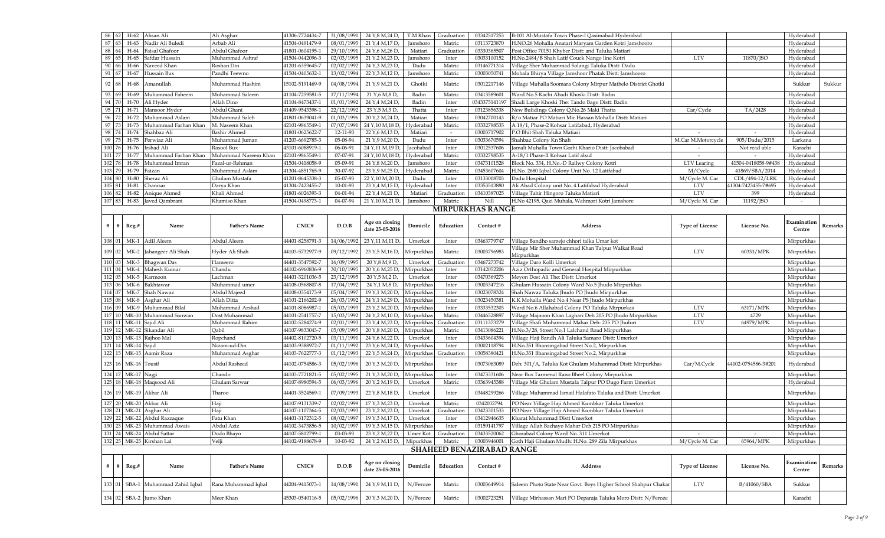| 86 62  | $H-62$                 | Ahsan Ali                         | Ali Asghar           | 41306-7724434-7 | 31/08/1991    | 24 Y, 8 M, 24 D,                  | T.M Khar   | Graduation | 03342517253                      | B-101 Al-Mustafa Town Phase-I Qasimabad Hyderabad               |                        |                     | Hyderabad             |                |
|--------|------------------------|-----------------------------------|----------------------|-----------------|---------------|-----------------------------------|------------|------------|----------------------------------|-----------------------------------------------------------------|------------------------|---------------------|-----------------------|----------------|
| 87     | $H-63$                 | Nadir Ali Buledi                  | Arbab Ali            | 41504-0491479-9 | 08/01/1995    | 21 Y <sub>,</sub> 4 M,17 D,       | Jamshoro   | Matric     | 03113723870                      | H.NO.26 Mohalla Anatari Maryam Garden Kotri Jamshooro           |                        |                     | Hyderabad             |                |
| 88     | H-64                   | Faisal Ghafoor                    | Abdul Ghafoor        | 41801-0604195-2 | 29/10/1991    | 24 Y,6 M,26 D,                    | Matiari    | Graduatio: | 03330365507                      | Post Office 70151 Khyber Distt: and Taluka Matiari              |                        |                     | Hyderabad             |                |
| 89     | H-65                   | Safdar Hussain                    | Muhammad Ashraf      | 41504-0442096-3 | 02/03/1995    | 21 Y, 2 M, 23 D,                  | Jamshoro   | Inter      | 03033100152                      | H.No.2484/B Shah Latif Couck Nango line Kotri                   | <b>LTV</b>             | 11870/JSO           | Hyderabad             |                |
|        |                        |                                   |                      |                 |               |                                   |            |            |                                  |                                                                 |                        |                     |                       |                |
| 90     | H-66<br>66             | Naveed Khan                       | Roshan Din           | 41201-6359645-7 | 02/02/1992    | 24 Y, 3 M, 23 D,                  | Dadu       | Matric     | 03146771314                      | Village Sher Muhammad Solangi Taluka Distt: Dadu                |                        |                     | Hyderabad             |                |
| 91     | H-67<br>1671           | Hussain Bux                       | Pandhi Teewno        | 41504-0405632-  | 13/02/1994    | 22 Y, 3 M, 12 D,                  | Jamshoro   | Matric     | 03003050741                      | Mohala Bhirya Village Jamshoor Phatak Distt: Jamshooro          |                        |                     | Hyderabad             |                |
| 92 68  | H-68                   | Amanullah                         | Muhammad Hashim      | 15102-5191469-9 | 04/08/1994    | 21 Y, 9 M, 21 D,                  | Ghotki     | Matric     | 03012217146                      | Village Muhalla Soomara Colony Mirpur Mathelo District Ghotki   |                        |                     | Sukkur                | Sukkur         |
| 93     | H-69<br>69             | Muhammad Faheem                   | Muhammad Saleem      | 41104-7259581-5 | 17/11/1994    | 21 Y, 6 M, 8 D                    | Badin      | Matric     | 03413589601                      | Ward No.5 Kachi Abadi Khoski Distt: Badin                       |                        |                     | Hyderabad             |                |
| 94 70  | H-70                   | Ali Hyder                         | Allah Dino           | 41104-8473437-1 | 01/01/1992    | 24 Y, 4 M, 24 D,                  | Badin      | Inter      | 0343375141197                    | Shadi Large Khoski The: Tando Bago Distt: Badin                 |                        |                     | Hyderabad             |                |
|        |                        |                                   |                      |                 |               |                                   |            |            |                                  |                                                                 |                        |                     |                       |                |
| 95     | $H-71$                 | Mansoor Hyder                     | Abdul Ghani          | 41409-9543398-2 | 22/12/1992    | 23 Y,5 M,3 D,                     | Thatta     | Inter      | 03123856338                      | New Bulidings Colony Q.No.26 Maki Thatta                        | Car/Cycle              | TA/2428             | Hyderabad             |                |
| 96 72  | $H-72$                 | Muhammad Aslam                    | Muhammad Saleh       | 41801-0639041-9 | 01/03/1996    | 20 Y <sub>,</sub> 2 M,24 D,       | Matiari    | Matric     | 03042700143                      | R/o Matiar PO Matiari Mir Hassan Mohalla Distt: Matiari         |                        |                     | Hyderabad             |                |
| 97     | $H-73$                 | Muhammad Farhan Khan              | M. Naseem Khan       | 42101-9865549-1 | 07/07/1991    | 24 Y, 10 M, 18 D                  | Hyderabao  | Matric     | 03332798535                      | A 18/1, Phase-2 Kohsar Latifabad, Hyderabad                     |                        |                     | Hyderabad             |                |
| 98     | H-74                   | Shahbaz Ali                       | <b>Bashir Ahmed</b>  | 41801-0625622-7 | 12-11-93      | 22 Y,6 M,13 D,                    | Matiari    |            | 03003717902                      | P.O Bhit Shah Taluka Matiari                                    |                        |                     | Hyderabad             |                |
| 99     | 75<br>H-75             | Perwiaz Ali                       | Muhammad Juman       | 41203-6692785-3 | 05-08-94      | 21 Y, 9 M, 20 D,                  | Dadu       | Inter      | 03033670594                      | Shahbaz Colony Kn Shah                                          | M.Car M.Motorcycle     | 905/Dadu/2015       | Larkana               |                |
| 100 76 | H-76                   | Irshad Ali                        | Rasool Bux           | 43101-6088919-1 | 06-06-91      | 24 Y,11 M,19 D                    | Jacobabac  | Inter      | 0301253760                       | amali Muhalla Town Gorhi Khario Distt: Jacobabad                | $\sim$                 | Not read able       | Karachi               |                |
|        |                        |                                   |                      |                 |               |                                   |            |            |                                  |                                                                 |                        |                     |                       |                |
| 101 77 | H-77                   | Muhammad Farhan Khar              | Muhammad Naseem Khan | 42101-9865549-  | $07 - 07 - 9$ | 24 Y, 10 M, 18 D                  | Hyderabac  | Matric     | 03332798535                      | A-18/1 Phase-II Kohsar Latif abad                               |                        |                     | Hyderabad             |                |
| 102 78 | H-78                   | Muhammad Imran                    | Fazal-ur-Rehman      | 41504-0418058-9 | $05-09-9$     | 24 Y, 8 M, 20 D,                  | Jamshoro   | Inter      | 03473101528                      | Block No. 334, H.No.-D Railwy Colony Kotri                      | LTV Learing            | 41504-0418058-9#438 | Hyderabad             |                |
| 103 79 | H-79                   | Faizan                            | Muhammad Aslam       | 41304-4851765-9 | 30-07-92      | 23 Y, 9 M, 25 D,                  | Hyderabad  | Matric     | 03453607604                      | H.No. 2680 Iqbal Colony Unit No. 12 Latifabad                   | M/Cycle                | 41869/SBA/2014      | Hyderabad             |                |
| 104 80 | $H-80$                 | Sheraz Ali                        | Ghulam Mustafa       | 41201-8645338-3 | 05-07-93      | 22 Y, 10 M, 20 D                  | Dadu       | Inter      | 03133008703                      | Dadu Hospital                                                   | M/Cycle M. Car         | CDL/494-12/LRK      | Hyderabad             |                |
| 105 81 | H-81                   | Chanisar                          | Darya Khan           | 41304-7423455-7 | 10-01-93      | 23 Y, 4 M, 15 D,                  | Hyderabac  | Inter      | 03353513880                      | Ali Abad Colony unit No. 4 Latifabad Hyderabad                  | <b>LTV</b>             | 41304-7423455-7#695 | Hyderabad             |                |
|        |                        |                                   |                      |                 |               |                                   |            |            |                                  |                                                                 |                        |                     |                       |                |
| 106 82 | H-82                   | Anique Ahmed                      | Khali Ahmed          | 41801-6026393-3 | 04-01-94      | 22 Y, 4 M, 21 D,                  | Matiari    | Graduation | 03410387025                      | Village Tahir Hingoro Taluka Matiari                            | <b>LTV</b>             | 399                 | Hyderabad             |                |
| 107 83 | H-83                   | Javed Qambrani                    | Khamiso Khan         | 41504-0498773-1 | 04-07-94      | 21 Y, 10 M, 21 D,                 | Jamshoro   | Matric     | Nill                             | H.No 42195, Qazi Muhala, Wahmori Kotri Jamshore                 | M/Cycle M. Car         | 11192/JSO           |                       |                |
|        |                        |                                   |                      |                 |               |                                   |            |            | <b>MIRPURKHAS RANGE</b>          |                                                                 |                        |                     |                       |                |
|        |                        |                                   |                      |                 |               |                                   |            |            |                                  |                                                                 |                        |                     |                       |                |
|        | $\#$   $\#$   Reg.#    | Name                              | <b>Father's Name</b> | CNIC#           | D.O.B         | Age on closing<br>date 25-05-2016 | Domicile   | Education  | Contact #                        | <b>Address</b>                                                  | <b>Type of License</b> | License No.         | Examination<br>Centre | <b>Remarks</b> |
|        |                        | 108 01 MK-1 Adil Aleem            | Abdul Aleem          | 44401-8258791-3 | 14/06/1992    | 23 Y,11 M,11 D                    | Umerkot    | Inter      | 03463779747                      | Village Bandho samejo chhori talka Umar kot                     |                        |                     | Mirpurkhas            |                |
|        |                        |                                   |                      |                 |               |                                   |            |            |                                  | Village Mir Sher Muhammad Khan Talpur Walkat Road               |                        |                     |                       |                |
|        |                        | 109 02 MK-2 Jahangeer Ali Shah    | Hyder Ali Shah       | 44103-5732977-9 | 09/12/1992    | 23 Y,5 M,16 D,                    | Mirpurkhas | Matric     | 03003796983                      | Mirpurkhas                                                      | <b>LTV</b>             | 60333/MPK           | Mirpurkhas            |                |
|        |                        | 110 03 MK-3 Bhagwan Das           | Hameero              | 44401-3547592-7 | 16/09/1995    | 20 Y,8 M,9 D,                     | Umerkot    | Graduation | 03467273742                      | Village Daro Kolli Umerkot                                      |                        |                     | Mirpurkhas            |                |
|        |                        |                                   |                      |                 |               |                                   |            |            |                                  |                                                                 |                        |                     |                       |                |
|        |                        | 111 04 MK-4 Mahesh Kumar          | Chandu               | 44102-6960836-9 | 30/10/1995    | 20 Y,6 M,25 D,                    | Mirpurkhas | Inter      | 03142052206                      | Aziz Orthopadic and General Hospital Mirpurkhas                 |                        |                     | Mirpurkhas            |                |
| 112 05 | $MK-5$                 | Karmoon                           | Lachman              | 44401-3201036-5 | 23/12/1995    | 20 Y <sub>,</sub> 5 M,2 D,        | Umerkot    | Inter      | 03470369273                      | Meyon Dost Ali The: Distt: Umerkot                              |                        |                     | Mirpurkhas            |                |
| 113 06 | MK-6                   | Bakhtawar                         | Muhammad umer        | 44108-0568807-8 | 17/04/1992    | 24 Y, 1 M, 8 D,                   | Mirpurkha  | Inter      | 03003347216                      | Ghulam Hussain Colony Ward No.5 Jhudo Mirpurkhas                |                        |                     | Mirpurkhas            |                |
| 114 07 |                        | MK-7 Shah Nawaz                   | Abdul Majeed         | 44108-0354173-9 | 05/04/1997    | 19 Y, 1 M, 20 D,                  | Mirpurkha  | Inter      | 03023078324                      | Shah Nawaz Taluka Jhudo PO Jhudo Mirpurkhas                     |                        |                     | Mirpurkhas            |                |
|        |                        | 115 08 MK-8 Asghar Ali            | Allah Ditta          | 44101-2166202-9 | 26/03/1992    | 24 Y,1 M,29 D,                    | Mirpurkha  | Inter      | 0302345038                       | K.K Mohalla Ward No.4 Near PS Jhudo Mirpurkhas                  |                        |                     | Mirpurkhas            |                |
| 116 09 |                        | MK-9 Muhammad Bilal               | Muhammad Arshad      | 44101-8086987-  | 05/03/1993    | 23 Y, 2 M, 20 D,                  | Mirpurkhas | Inter      | 03333532303                      | Ward No.6 Allahabad Colony PO Taluka Mirpurkas                  | <b>LTV</b>             | 63171/MPK           | Mirpurkhas            |                |
|        |                        |                                   |                      |                 |               |                                   |            |            |                                  |                                                                 |                        |                     |                       |                |
|        |                        | 117 10 MK-10 Muhammad Sanwan      | Dost Muhammad        | 44101-2541757-7 | 15/03/1992    | 24 Y, 2 M, 10 D,                  | Mirpurkha  | Matric     | 0344652889                       | Village Majnoon Khan Laghari Deh 205 PO Jhudo Mirpurkhas        | <b>LTV</b>             | 4729                | Mirpurkhas            |                |
|        | 118 11 MK-11 Sajid Ali |                                   | Muhammad Rahim       | 44102-5284274-9 | 02/01/1993    | 23 Y, 4 M, 23 D,                  | Mirpurkha  | Graduatio: | 03111373279                      | Village Shafi Muhammad Mahar Deh: 235 PO Jhuluri                | <b>LTV</b>             | 64979/MPK           | Mirpurkhas            |                |
| 119 12 |                        | MK-12 Sikandar Ali                | Qabil                | 44107-9833043-7 | 05/09/1995    | 20 Y, 8 M, 20 D,                  | Mirpurkha  | Matric     | 03413086221                      | H.No.3/28, Street No.1 Lalchand Road Mirpurkhas                 |                        |                     | Mirpurkhas            |                |
|        |                        | 120 13 MK-13 Rajhoo Mal           | Ropchand             | 44402-8102720-5 | 03/11/1991    | 24 Y,6 M,22 D,                    | Umerkot    | Inter      | 03433604394                      | Village Haji Bandh Ali Taluka Samaro Distt: Umerkot             |                        |                     | Mirpurkhas            |                |
|        | 121 14 MK-14 Sajid     |                                   | Nizam-ud-Din         | 44103-9388972-7 | 01/11/1992    | 23 Y, 6 M, 24 D,                  | Mirpurkhas | Inter      | 03002118794                      | H.No.351 Bhansingabad Street No.2, Mirpurkhas                   |                        |                     | Mirpurkhas            |                |
|        |                        |                                   |                      |                 |               |                                   |            |            |                                  |                                                                 |                        |                     |                       |                |
|        |                        | 122 15 MK-15 Aamir Raza           | Muhammad Asghar      | 44103-7622777-3 | 01/12/1993    | 22 Y,5 M,24 D,                    | Mirpurkhas | Graduation | 03058380421                      | H.No.351 Bhansingabad Street No.2, Mirpurkhas                   |                        |                     | Mirpurkhas            |                |
|        | 123 16 MK-16 Tousif    |                                   | Abdul Rasheed        | 44102-0754586-3 | 05/02/1996    | 20 Y, 3 M, 20 D,                  | Mirpurkhas | Inter      | 03073063089                      | Deh: 301/A, Taluka Kot Ghulam Muhammad Distt: Mirpurkhas        | Car/M.Cycle            | 44102-0754586-3#201 | Hyderabad             |                |
|        | 124 17 MK-17 Nagji     |                                   | Chando               | 44103-7721821-5 | 05/02/1995    | 21 Y, 3 M, 20 D,                  | Mirpurkhas | Inter      | 03473331606                      | Near Bus Tarmenal Rano Bheel Colony Mirpurkhas                  |                        |                     | Mirpurkhas            |                |
|        |                        | 125 18 MK-18 Maqsood Ali          | Ghulam Sarwar        | 44107-8980594-5 | 06/03/1996    | 20 Y, 2 M, 19 D,                  | Umerkot    | Matric     | 03363945388                      | Village Mir Ghulam Mustafa Talpur PO Dugo Farm Umerkot          |                        |                     | Hyderabad             |                |
|        | 126 19 MK-19 Akbar Ali |                                   | Tharoo               | 44401-3524569-1 | 07/09/1993    | 22 Y,8 M,18 D,                    | Umerkot    | Inter      | 03448299266                      | Village Muhammad Ismail Halafato Taluka and Distt: Umerkot      |                        |                     | Mirpurkhas            |                |
|        |                        | 127 20 MK-20 Akbar Ali            | Haji                 | 44107-9131339-7 | 02/02/1999    | 17 Y, 3 M, 23 D,                  | Umerkot    | Matric     | 0342032794                       | PO Near Village Haji Ahmed Kumbkar Taluka Umerkot               |                        |                     | Mirpurkhas            |                |
|        |                        | 128 21 MK-21 Asghar Ali           | Haji                 | 44107-1107364-5 |               | 23 Y, 2 M, 23 D,                  | Umerkot    | Graduatio: | 03423301533                      | PO Near Village Haji Ahmed Kumbkar Taluka Umerkot               |                        |                     | Mirpurkhas            |                |
|        |                        |                                   |                      |                 | 02/03/1993    |                                   |            |            |                                  |                                                                 |                        |                     |                       |                |
|        |                        | 129 22 MK-22 Abdul Razzaque       | Fatu Khan            | 44401-3172312-5 | 08/02/1997    | 19 Y, 3 M, 17 D,                  | Umerkot    | Inter      | 03412946635                      | Kharat Muhammad Distt Umerkot                                   |                        |                     | Mirpurkhas            |                |
|        |                        | 130 23 MK-23 Muhammad Awais       | Abdul Aziz           | 44102-3473856-5 | 10/02/1997    | 19 Y, 3 M, 15 D,                  | Mirpurkha  | Inter      | 03159141797                      | Village Allah Bachayo Mahar Deh 215 PO Mirpurkhas               |                        |                     | Mirpurkhas            |                |
|        |                        | 131 24 MK-24 Abdul Sattar         | Dodo Bhayo           | 44107-5812799-2 | 03-03-93      | 23 Y, 2 M, 22 D,                  | Umer Kot   | Graduation | 03433520062                      | Ghorabad Colony Ward No. 311 Umerkot                            |                        | $\sim$              | Mirpurkhas            |                |
|        |                        | 132 25 MK-25 Kirshan Lal          | Velji                | 44102-9188678-9 | 10-03-92      | 24 Y, 2 M, 15 D,                  | Mipurkhas  | Matric     | 03003946001                      | Goth Haji Ghulam Mudh: H.No. 289 Zila Mirpurkhas                | M/Cycle M. Car         | 65964/MPK           | Mirpurkhas            |                |
|        |                        |                                   |                      |                 |               |                                   |            |            | <b>SHAHEED BENAZIRABAD RANGE</b> |                                                                 |                        |                     |                       |                |
|        |                        |                                   |                      |                 |               |                                   |            |            |                                  |                                                                 |                        |                     |                       |                |
|        | $#$ # Reg.#            | Name                              | <b>Father's Name</b> | CNIC#           | D.O.B         | Age on closing<br>date 25-05-2016 | Domicile   | Education  | Contact #                        | Address                                                         | <b>Type of License</b> | License No.         | Examination<br>Centre | <b>Remarks</b> |
|        |                        | 133 01 SBA-1 Muhammad Zahid Iqbal | Rana Muhammad Iqbal  | 44204-9415073-1 | 14/08/1991    | 24 Y, 9 M, 11 D,                  | N/Feroze   | Matric     | 03003649914                      | Saleem Photo State Near Govt. Boys Higher School Shahpur Chakar | <b>LTV</b>             | B/41060/SBA         | Sukkur                |                |
|        |                        | $134 02 $ SBA-2 Jumo Khan         | Meer Khan            | 45303-0540116-5 | 05/02/1996    | 20 Y, 3 M, 20 D,                  | N/Feroze   | Matric     | 03002723251                      | Village Mirhassan Mari PO Deparaja Taluka Moro Distt: N/Feroze  |                        |                     | Karachi               |                |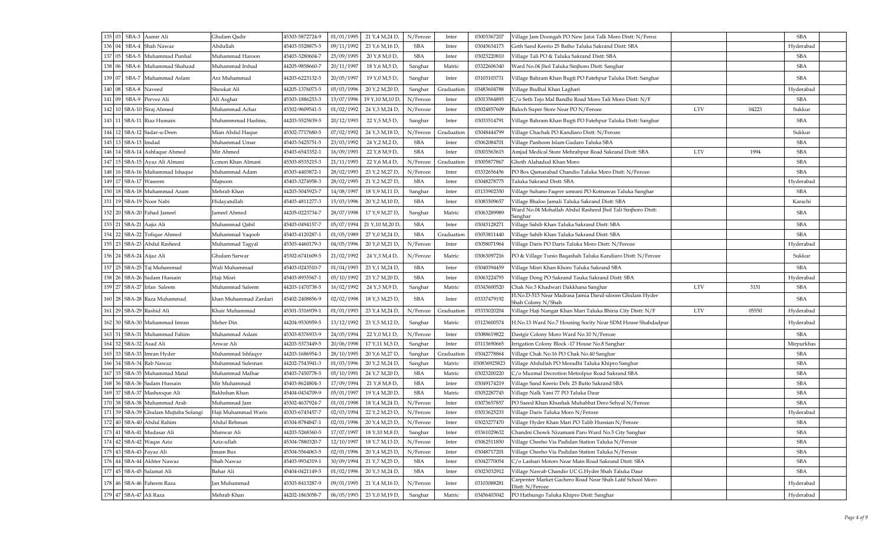| 135       | SBA-3 Aamir Ali                          | Ghulam Qadir          | 45303-5872724-9 | 01/01/1995 | 21 Y, 4 M, 24 D,  | N/Feroze   | Inter      | 03003367207  | Village Jam Doongah PO New Jatoi Talk Moro Distt: N/Feroz                    |            |       | <b>SBA</b> |  |
|-----------|------------------------------------------|-----------------------|-----------------|------------|-------------------|------------|------------|--------------|------------------------------------------------------------------------------|------------|-------|------------|--|
| 136       | SBA-4 Shah Nawaz                         | Abdullah              | 45403-5528875-5 | 09/11/1992 | 23 Y, 6 M, 16 D   | <b>SBA</b> | Inter      | 03045634173  | Goth Sand Keerio 25 Batho Taluka Sakrand Distt: SBA                          |            |       | Hyderabad  |  |
| 137       | SBA-5 Muhammad Punhal                    | Muhammad Haroon       | 45403-3280604-7 | 25/09/1995 | 20 Y, 8 M, 0 D,   | <b>SBA</b> | Inter      | 03023220810  | Village Tali PO & Taluka Sakrand Distt: SBA                                  |            |       | <b>SBA</b> |  |
| 138       | SBA-6 Muhammad Shahzad                   | Muhammad Irshad       | 44205-9858660-7 | 20/11/1997 | 18 Y, 6 M, 5 D,   | Sanghar    | Matric     | 03322606340  | Ward No.04 Jhol Taluka Sinjhoro Distt: Sanghar                               |            |       | <b>SBA</b> |  |
| 139       | SBA-7 Muhammad Aslam                     | Arz Muhammad          | 44203-6223132-5 | 20/05/1997 | 19 Y, 0 M, 5 D,   | Sanghar    | Inter      | 03103103731  | Village Bahram Khan Bugti PO Fatehpur Taluka Distt: Sanghar                  |            |       | <b>SBA</b> |  |
| 140<br>08 | SBA-8 Naveed                             | Shoukat Ali           | 44205-1376073-5 | 05/03/1996 | 20 Y, 2 M, 20 D,  | Sanghar    | Graduation | 03483604788  | Village Budhal Khan Laghari                                                  |            |       | Hyderabad  |  |
| 141 09    | SBA-9 Pervez Ali                         | Ali Asghar            | 45303-1886253-3 | 15/07/1996 | 19 Y, 10 M, 10 D, | N/Feroze   | Inter      | 03013564893  | C/o Seth Tejo Mal Bandhi Road Moro Tali Moro Distt: N/F                      |            |       | <b>SBA</b> |  |
|           | 142   10   SBA-10   Siraj Ahmed          | Muhammad Achar        | 45302-9609541-5 | 01/02/1992 | 24 Y, 3 M, 24 D,  | N/Feroze   | Inter      | 03024857609  | Baloch Super Store Near PO N/Feroze                                          | <b>LTV</b> | 04223 | Sukkur     |  |
|           | 143   11   SBA-11   Riaz Hussain         | Muhammmad Hashim,     | 44203-5525839-5 | 20/12/1993 | 22 Y,5 M,5 D,     | Sanghar    | Inter      | 03033514791  | Village Bahram Khan Bugti PO Fatehpur Taluka Distt: Sanghar                  |            |       | <b>SBA</b> |  |
|           | 144   12   SBA-12   Sadar-u-Deen         | Mian Abdul Haque      | 45302-7717680-5 | 07/02/1992 | 24 Y, 3 M, 18 D,  | N/Feroze   | Graduation | 03048444799  | Village Chachak PO Kandiaro Distt: N/Feroze                                  |            |       | Sukkur     |  |
|           | 145 13 SBA-13 Imdad                      | Muhammad Umar         | 45403-5425751-5 | 23/03/1992 | 24 Y, 2 M, 2 D,   | <b>SBA</b> | Inter      | 03062084701  | Village Panhoon Islam Gudaro Taluka SBA                                      |            |       | <b>SBA</b> |  |
|           | 146 14 SBA-14 Ashfaque Ahmed             | Mir Ahmed             | 45403-6543352-1 | 16/09/1993 | 22 Y, 8 M, 9 D,   | <b>SBA</b> | Inter      | 03003563615  | Amjad Medical Store Mehrabpur Road Sakrand Distt: SBA                        | <b>LTV</b> | 1994  | <b>SBA</b> |  |
|           | 147   15   SBA-15   Ayaz Ali Almani      | Lcmon Khan Almani     | 45303-8535215-3 | 21/11/1993 | 22 Y,6 M,4 D,     | N/Feroze   | Graduation | 03005877867  | Ghoth Alahadud Khan Moro                                                     |            |       | <b>SBA</b> |  |
|           | 148 16 SBA-16 Muhammad Ishaque           | Muhammad Adam         | 45303-4403872-1 | 28/02/1993 | 23 Y, 2 M, 27 D,  | N/Feroze   | Inter      | 03332656456  | PO Box Qamarabad Chandio Taluka Moro Distt: N/Feroze                         |            |       | <b>SBA</b> |  |
|           | 149 17 SBA-17 Waseem                     | Majnoon               | 45403-3274958-3 | 28/02/1995 | 21 Y, 2 M, 27 D,  | <b>SBA</b> | Inter      | 03048278775  | <b>Taluka Sakrand Distt: SBA</b>                                             |            |       | Hyderabad  |  |
|           | 150 18 SBA-18 Muhammad Azam              | Mehrab Khan           | 44203-5045923-7 | 14/08/1997 | 18 Y, 9 M, 11 D,  | Sanghar    | Inter      | 03133902350  | Village Suhano Faqeer umrani PO Kotnawas Taluka Sanghar                      |            |       | <b>SBA</b> |  |
|           | 151 19 SBA-19 Noor Nabi                  | Hidayatullah          | 45403-4811277-3 | 15/03/1996 | 20 Y, 2 M, 10 D,  | <b>SBA</b> | Inter      | 03083509657  | Village Bhaloo Jamali Taluka Sakrand Distt: SBA                              |            |       | Karachi    |  |
|           | 152   20   SBA-20   Fahad Jameel         | Jameel Ahmed          | 44205-0223734-7 | 28/07/1998 | 17 Y, 9 M, 27 D,  | Sanghar    | Matric     | 03063289989  | Ward No.04 Mohallah Abdul Rasheed Jhol Tali Sinjhoro Distt:<br>Sanghar       |            |       | <b>SBA</b> |  |
|           | 153   21   SBA-21   Aajiz Ali            | Muhammad Qabil        | 45403-0494157-7 | 05/07/1994 | 21 Y, 10 M, 20 D, | <b>SBA</b> | Inter      | 03043128271  | Village Sahib Khan Taluka Sakrand Distt: SBA                                 |            |       | <b>SBA</b> |  |
|           | 154 22 SBA-22 Tofique Ahmed              | Muhammad Yaqoob       | 45403-4120287-1 | 01/05/1989 | 27 Y, 0 M, 24 D,  | <b>SBA</b> | Graduation | 03053811440  | Village Sahib Khan Taluka Sakrand Distt: SBA                                 |            |       | <b>SBA</b> |  |
|           | 155 23 SBA-23 Abdul Rasheed              | Muhammad Tagyal       | 45303-4460179-3 | 04/05/1996 | 20 Y, 0 M, 21 D,  | N/Feroze   | Inter      | 03058071964  | Village Daris PO Daris Taluka Moro Distt: N/Feroze                           |            |       | Hyderabad  |  |
|           | 156   24   SBA-24   Aijaz Ali            | Ghulam Sarwar         | 45302-6741609-5 | 21/02/1992 | 24 Y, 3 M, 4 D,   | N/Feroze   | Matric     | 03063097216  | PO & Village Tunio Baqashah Taluka Kandiaro Distt: N/Feroze                  |            |       | Sukkur     |  |
|           | 157 25 SBA-25 Taj Muhammad               | Wali Muhammad         | 45403-0243510-7 | 01/04/1993 | 23 Y, 1 M, 24 D,  | <b>SBA</b> | Inter      |              | 03040394459   Village Misri Khan Khoro Taluka Sakrand SBA                    |            |       | <b>SBA</b> |  |
|           | 158 26 SBA-26 Sadam Hussain              | Haji Misri            | 45403-8935567-1 | 05/10/1992 | 23 Y,7 M,20 D,    | <b>SBA</b> | Inter      | 03063224793  | Village Dong PO Sakrand Tauka Sakrand Distt: SBA                             |            |       | Hyderabad  |  |
| 159       | 27 SBA-27 Irfan Saleem                   | Muhammad Saleem       | 44203-1470738-5 | 16/02/1992 | 24 Y, 3 M, 9 D,   | Sanghar    | Matric     | 03343600520  | Chak No.3 Khadwari Dakkhana Sanghar                                          | <b>LTV</b> | 3151  | <b>SBA</b> |  |
|           | 160   28   SBA-28   Raza Muhammad        | khan Muhammad Zardari | 45402-2408856-9 | 02/02/1998 | 18 Y, 3 M, 23 D,  | <b>SBA</b> | Inter      | 03337479192  | H.No.D-513 Near Madrasa Jamia Darul-uloom Ghulam Hyder<br>Shah Colony N/Shah |            |       | <b>SBA</b> |  |
|           | 161 29 SBA-29 Rashid Ali                 | Khair Muhammad        | 45301-3316939-1 | 01/01/1993 | 23 Y, 4 M, 24 D,  | N/Feroze   | Graduation | 03333020204  | Village Haji Nangar Khan Mari Taluka Bhiria City Distt: N/F                  | <b>LTV</b> | 05550 | Hyderabad  |  |
|           | 162   30   SBA-30   Muhammad Imran       | Meher Din             | 44204-9530959-5 | 13/12/1992 | 23 Y,5 M,12 D,    | Sanghar    | Matric     | 03123600574  | H.No.13 Ward No.7 Housing Socity Near SDM House Shahdadpur                   |            |       | Hyderabad  |  |
| 163       | 31 SBA-31 Muhammad Fahim                 | Muhammad Aslam        | 45303-8376933-9 | 24/05/1994 | 22 Y, 0 M, 1 D,   | N/Feroze   | Inter      | 03088619822  | Dastgir Colony Moro Ward No.10 N/Feroze                                      |            |       | <b>SBA</b> |  |
|           | $32$ SBA-32 Asad Ali                     | Anwar Ali             | 44203-5373449-5 | 20/06/1998 | 17 Y, 11 M, 5 D,  | Sanghar    | Inter      | 03113690665  | Irrigation Colony Block -17 House No.8 Sanghar                               |            |       | Mirpurkhas |  |
|           | 165 33 SBA-33 Imran Hyder                | Muhammad Ishfaqye     | 44203-1686954-3 | 28/10/1995 | 20 Y,6 M,27 D,    | Sanghar    | Graduation | 03042778864  | Village Chak No.16 PO Chak No.40 Sanghar                                     |            |       | <b>SBA</b> |  |
| 166       | 34 SBA-34 Rab Nawaz                      | Muhammad Suleman      | 44202-7543941-3 | 01/03/1996 | 20 Y, 2 M, 24 D,  | Sanghar    | Matric     | 030836925823 | Village Abdullah PO Moradhi Taluka Khipro Sanghar                            |            |       | <b>SBA</b> |  |
|           | 167 35 SBA-35 Muhammad Matal             | Muhammad Malhar       | 45403-7450778-5 | 05/10/1991 | 24 Y,7 M,20 D,    | <b>SBA</b> | Matric     | 03023200220  | C/o Muzmal Decrotion Metrolpur Road Sakrand SBA                              |            |       | <b>SBA</b> |  |
|           | 168 36 SBA-36 Sadam Hussain              | Mir Muhammad          | 45403-8624804-3 | 17/09/1994 | 21 Y, 8 M, 8 D,   | <b>SBA</b> | Inter      | 03049174219  | Village Sand Keerio Deh: 25 Butto Sakrand SBA                                |            |       | <b>SBA</b> |  |
|           | 169 37 SBA-37 Mashooque Ali              | <b>Bakhshan Khan</b>  | 45404-0434709-9 | 05/01/1997 | 19 Y, 4 M, 20 D,  | <b>SBA</b> | Matric     | 03052287745  | Village Nalk Yani 77 PO Taluka Daur                                          |            |       | <b>SBA</b> |  |
| 170       | 38 SBA-38 Muhammad Arab                  | Muhammad Jam          | 45302-4637924-7 | 01/01/1998 | 18 Y, 4 M, 24 D,  | N/Feroze   | Inter      | 03073657857  | PO Saeed Khan Khushak Muhabbat Dero Sehyal N/Feroze                          |            |       | <b>SBA</b> |  |
|           | 171   39   SBA-39 Ghulam Mujtaba Solangi | Haji Muhammad Waris   | 45303-6745457-7 | 02/03/1994 | 22 Y, 2 M, 23 D,  | N/Feroze   | Inter      | 03013625233  | Village Daris Taluka Moro N/Feroze                                           |            |       | Hyderabad  |  |
|           | 172 40 SBA-40 Abdul Rahim                | Abdul Rehman          | 45304-8784847-1 | 02/01/1996 | 20 Y, 4 M, 23 D,  | N/Feroze   | Inter      | 03023277470  | Village Hyder Khan Mari PO Talib Hussian N/Feroze                            |            |       | <b>SBA</b> |  |
|           | 173 41 SBA-41 Mudasar Ali                | Munwar Ali            | 44203-5268360-5 | 17/07/1997 | 18 Y, 10 M, 8 D,  | Sanghar    | Inter      | 03361029632  | Chandni Chowk Nizamani Paro Ward No.5 City Sanghar                           |            |       | <b>SBA</b> |  |
|           | 42 SBA-42 Waqas Aziz                     | Aziz-ullah            | 45304-7880320-7 | 12/10/1997 | 18 Y, 7 M, 13 D,  | N/Feroze   | Inter      | 03062511850  | Village Cheeho Via Padidan Station Taluka N/Feroze                           |            |       | <b>SBA</b> |  |
|           | 175   43   SBA-43  Fayaz Ali             | Imam Bux              | 45304-5564063-5 | 02/01/1996 | 20 Y, 4 M, 23 D,  | N/Feroze   | Inter      | 03048717201  | Village Cheeho Via Padidan Station Taluka N/Feroze                           |            |       | <b>SBA</b> |  |
|           | 176   44   SBA-44   Akhter Nawaz         | Shah Nawaz            | 45403-9934319-1 | 30/09/1994 | 21 Y,7 M,25 D,    | <b>SBA</b> | Inter      | 03042770054  | C/o Lashari Motors Near Main Road Sakrand Distt: SBA                         |            |       | <b>SBA</b> |  |
| 177       | 45 SBA-45 Salamat Ali                    | Bahar Ali             | 45404-0421149-5 | 01/02/1996 | 20 Y, 3 M, 24 D,  | <b>SBA</b> | Inter      | 03023032912  | Village Nawab Chandio UC G.Hyder Shah Taluka Daur                            |            |       | <b>SBA</b> |  |
|           | 178   46   SBA-46   Faheem Raza          | Ian Muhammad          | 45303-8413287-9 | 09/01/1995 | 21 Y, 4 M, 16 D,  | N/Feroze   | Inter      | 03103088281  | Carpenter Market Gachero Road Near Shah Latif School Moro<br>Distt: N/Feroze |            |       | Hyderabad  |  |
|           | 179   47   SBA-47   Ali Raza             | Mehrab Khan           | 44202-1863058-7 | 06/05/1993 | 23 Y, 0 M, 19 D,  | Sanghar    | Matric     | 03456403042  | PO Hathungo Taluka Khipro Distt: Sanghar                                     |            |       | Hyderabad  |  |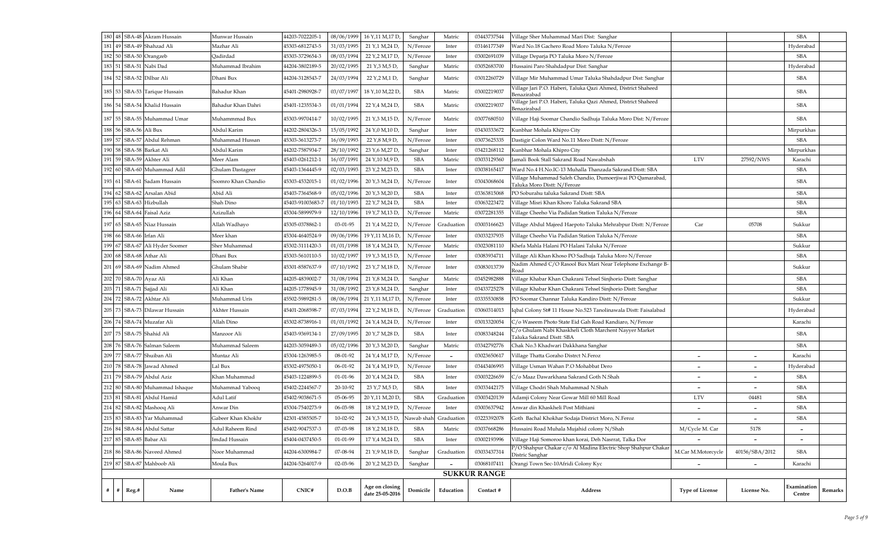| 181   49   SBA-49   Shahzad Ali<br>45303-6812743-5<br>31/03/1995<br>21 Y, 1 M, 24 D,<br>N/Feroze<br>Mazhar Ali<br>Inter<br>03146177349<br>Ward No.18 Gachero Road Moro Taluka N/Feroze<br>Hyderabad<br>182 50 SBA-50 Orangzeb<br>45303-3729654-3<br>08/03/1994<br>N/Feroze<br><b>SBA</b><br>Qadirdad<br>22 Y, 2 M, 17 D,<br>Inter<br>03002691039<br>Village Deparja PO Taluka Moro N/Feroze<br>183 51 SBA-51 Nabi Dad<br>Muhammad Ibrahim<br>44204-3802189-5<br>21 Y, 3 M, 5 D,<br>Matric<br>03052683700<br>Hussaini Paro Shahdadpur Dist: Sanghar<br>Hyderabad<br>20/02/1995<br>Sanghar<br>184   52   SBA-52   Dilbar Ali<br>Village Mir Muhammad Umar Taluka Shahdadpur Dist: Sanghar<br><b>SBA</b><br>44204-3128543-7<br>24/03/1994<br>22 Y, 2 M, 1 D,<br>Sanghar<br>Matric<br>03012260729<br>Dhani Bux<br>Village Jari P.O. Haberi, Taluka Qazi Ahmed, District Shaheed<br>03002219037<br><b>SBA</b><br>185   53   SBA-53   Tarique Hussain<br><b>SBA</b><br>Bahadur Khan<br>45401-2980928-7<br>03/07/1997<br>18 Y, 10 M, 22 D<br>Matric<br>Benazirabad<br>Village Jari P.O. Haberi, Taluka Qazi Ahmed, District Shaheed<br><b>SBA</b><br>03002219037<br><b>SBA</b><br>186   54   SBA-54   Khalid Hussain<br>Bahadur Khan Dahri<br>45401-1235534-3<br>01/01/1994<br>22 Y, 4 M, 24 D,<br>Matric<br>Benazirabad<br><b>SBA</b><br>187   55   SBA-55  Muhammad Umar<br>Muhammmad Bux<br>45303-9970414-7<br>10/02/1995<br>21 Y, 3 M, 15 D,<br>N/Feroze<br>Matric<br>03077680510<br>Village Haji Soomar Chandio Sadhuja Taluka Moro Dist: N/Feroze<br>188 56 SBA-56 Ali Bux<br>Mirpurkhas<br>Abdul Karim<br>44202-2804326-3<br>15/05/1992<br>24 Y, 0 M, 10 D,<br>Sanghar<br>Inter<br>03430333672<br>Kunbhar Mohala Khipro City<br>189 57 SBA-57 Abdul Rehman<br>N/Feroze<br><b>SBA</b><br>Muhammad Hussan<br>45303-3613273-7<br>16/09/1993<br>22 Y, 8 M, 9 D,<br>03073625335<br>Inter<br>Dastigir Colon Ward No.11 Moro Distt: N/Feroze<br>190   58   SBA-58 Barkat Ali<br>44202-7587934-7<br>28/10/1992<br>23 Y, 6 M, 27 D,<br>Sanghar<br>Mirpurkhas<br>Abdul Karim<br>Inter<br>03421268112<br>Kunbhar Mohala Khipro City<br>191   59   SBA-59   Akhter Ali<br>16/07/1991<br>24 Y, 10 M, 9 D,<br><b>SBA</b><br><b>LTV</b><br>45403-0261212-1<br>Matric<br>03033129360<br>Jamali Book Stall Sakrand Road Nawabshah<br>27592/NWS<br>Karachi<br>Meer Alam<br>192 60 SBA-60 Muhammad Adil<br><b>SBA</b><br><b>SBA</b><br>Ghulam Dastageer<br>45403-1364445-9<br>02/03/1993<br>23 Y, 2 M, 23 D,<br>Ward No.4 H.No.IC-13 Muhalla Thanzada Sakrand Distt: SBA<br>Inter<br>03038165417<br>Village Muhammad Saleh Chandio, Dumoerjiwai PO Qamarabad,<br><b>SBA</b><br>193   61   SBA-61  Sadam Hussain<br>Soomro Khan Chandio<br>N/Feroze<br>03043068604<br>45303-4532015-1<br>01/02/1996<br>20 Y, 3 M, 24 D,<br>Inter<br>Taluka Moro Distt: N/Feroze<br>194 62 SBA-62 Arsalan Abid<br>05/02/1996<br>Abid Ali<br>45403-7364568-9<br>20 Y, 3 M, 20 D,<br><b>SBA</b><br>03363815068<br>PO Soburahu taluka Sakrand Distt: SBA<br><b>SBA</b><br>Inter<br>$195 63 $ SBA-63 Hizbullah<br><b>SBA</b><br>45403-91003683-7<br>01/10/1993<br>22 Y, 7 M, 24 D,<br><b>SBA</b><br>Shah Dino<br>Inter<br>03063223472<br>Village Misri Khan Khoro Taluka Sakrand SBA<br>196 64 SBA-64 Faisal Aziz<br>N/Feroze<br>Azizullah<br>45304-5899979-9<br>12/10/1996<br>19 Y, 7 M, 13 D,<br>Matric<br>03072281355<br><b>SBA</b><br>Village Cheeho Via Padidan Station Taluka N/Feroze<br>Village Abdul Majeed Haepoto Taluka Mehrabpur Distt: N/Feroze<br>05708<br>197   65   SBA-65   Niaz Hussain<br>Allah Wadhayo<br>45305-0378862-1<br>03-01-95<br>21 Y, 4 M, 22 D,<br>N/Feroze<br>Graduation<br>Car<br>Sukkur<br>03003166623<br>198 66 SBA-66 Irfan Ali<br><b>SBA</b><br>Meer khan<br>45304-4640524-9<br>09/06/1996<br>19 Y, 11 M, 16 D,<br>N/Feroze<br>Inter<br>03033237935<br>Village Cheeho Via Padidan Station Taluka N/Feroze<br>199   67   SBA-67   Ali Hyder Soomer<br>01/01/1998<br>N/Feroze<br>Matric<br>Khefa Mahla Halani PO Halani Taluka N/Feroze<br>Sher Muhammad<br>45302-3111420-3<br>18 Y, 4 M, 24 D,<br>03023081110<br>Sukkur<br>200   68   SBA-68   Athar Ali<br>10/02/1997<br>19 Y, 3 M, 15 D,<br>N/Feroze<br>Village Ali Khan Khoso PO Sadhuja Taluka Moro N/Feroze<br><b>SBA</b><br>Dhani Bux<br>45303-5610110-5<br>Inter<br>03083934711<br>Nadim Ahmed C/O Rasool Bux Mari Near Telephone Exchange B-<br>$201 69 $ SBA-69 Nadim Ahmed<br>07/10/1992<br>23 Y, 7 M, 18 D,<br>N/Feroze<br>03083013739<br>Ghulam Shabir<br>45301-8587637-9<br>Sukkur<br>Inter<br>Road<br>202   70   SBA-70   Ayaz Ali<br>44205-4839002-7<br>31/08/1994<br>Sanghar<br>03452982888<br>Village Khabar Khan Chakrani Tehsel Sinjhorio Distt: Sanghar<br><b>SBA</b><br>Ali Khan<br>21 Y, 8 M, 24 D,<br>Matric<br>203   71   SBA-71   Sajjad Ali<br><b>SBA</b><br>Ali Khan<br>44205-1778945-9<br>31/08/1992<br>23 Y, 8 M, 24 D,<br>Sanghar<br>03433725278<br>Village Khabar Khan Chakrani Tehsel Sinjhorio Distt: Sanghar<br>Inter<br>204 72 SBA-72 Akhtar Ali<br>Muhammad Uris<br>N/Feroze<br>45502-5989281-5<br>08/06/1994<br>PO Soomar Channar Taluka Kandiro Distt: N/Feroze<br>Sukkur<br>21 Y, 11 M, 17 D,<br>Inter<br>03335530858<br>205   73   SBA-73   Dilawar Hussain<br>07/03/1994<br>Iqbal Colony St# 11 House No.523 Tanolinawala Distt: Faisalabad<br>Akhter Hussain<br>45401-2068598-7<br>22 Y, 2 M, 18 D,<br>N/Feroze<br>03060314013<br>Hyderabad<br>Graduation<br>206   74   SBA-74   Muzafar Ali<br>Allah Dino<br>45302-8738916-1<br>01/01/1992<br>24 Y, 4 M, 24 D,<br>N/Feroze<br>03013320054<br>C/o Waseem Photo State Eid Gah Road Kandiaro, N/Feroze<br>Karachi<br>Inter<br>C/o Ghulam Nabi Khaskheli Cloth Marchent Nayyer Market<br>207   75   SBA-75   Shahid Ali<br><b>SBA</b><br>03083348244<br><b>SBA</b><br>27/09/1995<br>20 Y,7 M,28 D,<br>Manzoor Ali<br>45403-9369134-1<br>Inter<br>Taluka Sakrand Distt: SBA<br>208 76 SBA-76 Salman Saleem<br>05/02/1996<br>Sanghar<br>44203-3059489-3<br>20 Y <sub>7</sub> 3 M <sub>7</sub> 20 D<br>Matric<br>Chak No.3 Khadwari Dakkhana Sanghar<br><b>SBA</b><br>Muhammad Saleem<br>03342792776<br>209 77 SBA-77 Shuiban Ali<br>45304-1263985-5<br>N/Feroze<br>24 Y, 4 M, 17 D,<br>03023650617<br>Village Thatta Goraho Distrct N.Feroz<br>Karachi<br>08-01-92<br>Muntaz Ali<br>$\sim$<br>$\overline{\phantom{a}}$<br>$\overline{\phantom{a}}$<br>210 78 SBA-78 Jawad Ahmed<br>45302-4975050-1<br>N/Feroze<br>Lal Bux<br>06-01-92<br>24 Y, 4 M, 19 D,<br>03443406993<br>Village Usman Wahan P.O Mohabbat Dero<br>Hyderabad<br>Inter<br>$\overline{\phantom{a}}$<br>$\overline{\phantom{a}}$<br>$211$ 79 SBA-79 Abdul Aziz<br>45403-1224899-5<br>20 Y <sub>,</sub> 4 M,24 D<br><b>SBA</b><br><b>SBA</b><br>Khan Muhammad<br>$01 - 01 - 96$<br>03003226659<br>C/o Maaz Dawarkhana Sakrand Goth N.Shah<br>Inter<br>$\overline{\phantom{a}}$<br>212 80 SBA-80 Muhammad Ishaque<br><b>SBA</b><br>45402-2244567-7<br>23 Y, 7 M, 5 D,<br><b>SBA</b><br>Muhammad Yabooq<br>20-10-92<br>03033442175<br>Village Chodri Shah Muhammad N.Shah<br>Inter<br>$\overline{\phantom{a}}$<br>213 81 SBA-81 Abdul Hamid<br>45402-9038671-5<br><b>SBA</b><br>Graduation<br><b>LTV</b><br><b>SBA</b><br>05-06-95<br>20 Y,11 M,20 D,<br>Adamji Colony Near Gowar Mill 60 Mill Road<br>Adul Latif<br>03003420139<br>04481<br>214 82 SBA-82 Mashooq Ali<br>N/Feroze<br><b>SBA</b><br>45304-7540273-9<br>06-03-98<br>18 Y, 2 M, 19 D,<br>03003637942<br>Anwar din Khaskheli Post Mithiani<br>Anwar Din<br>Inter<br>$\qquad \qquad \blacksquare$<br>$215 \,   \, 83 \,   \,$ SBA-83 Yar Muhammad<br>Gabeer Khan Khokhr<br>42301-4585505-7<br>10-02-92<br>24 Y, 3 M, 15 D,<br>Nawab shah<br>Graduation<br>03223392078<br>Goth Bachal Khokhar Sodaja District Moro, N.Feroz<br><b>SBA</b><br>216 84 SBA-84 Abdul Sattar<br><b>SBA</b><br>45402-9047537-3<br>07-03-98<br>18 Y, 2 M, 18 D,<br>03037668286<br>Hussaini Road Muhala Mujahid colony N/Shah<br>5178<br>Adul Raheem Rind<br>Matric<br>M/Cycle M. Car<br>$\overline{\phantom{a}}$<br>217 85 SBA-85 Babar Ali<br><b>SBA</b><br>17 Y, 4 M, 24 D,<br>45404-0437450-5<br>Village Haji Somoroo khan korai, Deh Nasrrat, Talka Dor<br>Imdad Hussain<br>$01 - 01 - 99$<br>03002193996<br>Inter<br>$\qquad \qquad$<br>$\overline{\phantom{a}}$<br>P/O Shahpur Chakar c/o Al Madina Electric Shop Shahpur Chakar<br>07-08-94<br>03033437314<br><b>SBA</b><br>218   86   SBA-86   Naveed Ahmed<br>Noor Muhammad<br>44204-6300984-7<br>21 Y, 9 M, 18 D,<br>Sanghar<br>Graduation<br>M.Car M.Motorcycle<br>40156/SBA/2012<br>Distric Sanghar<br>219 87 SBA-87 Mahboob Ali<br>44204-5264017-9<br>Moula Bux<br>02-03-96<br>20 Y, 2 M, 23 D,<br>03068107411<br>Sanghar<br>Orangi Town Sec-10Afridi Colony Kyc<br>Karachi<br>$\overline{\phantom{0}}$<br>$\overline{\phantom{0}}$<br>$\overline{\phantom{m}}$<br><b>SUKKUR RANGE</b><br>Examination<br>Age on closing<br>CNIC#<br>D.O.B<br>Name<br><b>Father's Name</b><br>Domicile<br>Education<br><b>Address</b><br>$#$ $#$<br>Reg.#<br>Contact #<br><b>Type of License</b><br>License No.<br>date 25-05-2016<br>Centre |  | 180   48   SBA-48   Akram Hussain | Munwar Hussain | 44203-7022205-1 | 08/06/1999 | 16 Y, 11 M, 17 D | Sanghar | Matric | 03443737544 | Village Sher Muhammad Mari Dist: Sanghar |  | <b>SBA</b> |                |
|--------------------------------------------------------------------------------------------------------------------------------------------------------------------------------------------------------------------------------------------------------------------------------------------------------------------------------------------------------------------------------------------------------------------------------------------------------------------------------------------------------------------------------------------------------------------------------------------------------------------------------------------------------------------------------------------------------------------------------------------------------------------------------------------------------------------------------------------------------------------------------------------------------------------------------------------------------------------------------------------------------------------------------------------------------------------------------------------------------------------------------------------------------------------------------------------------------------------------------------------------------------------------------------------------------------------------------------------------------------------------------------------------------------------------------------------------------------------------------------------------------------------------------------------------------------------------------------------------------------------------------------------------------------------------------------------------------------------------------------------------------------------------------------------------------------------------------------------------------------------------------------------------------------------------------------------------------------------------------------------------------------------------------------------------------------------------------------------------------------------------------------------------------------------------------------------------------------------------------------------------------------------------------------------------------------------------------------------------------------------------------------------------------------------------------------------------------------------------------------------------------------------------------------------------------------------------------------------------------------------------------------------------------------------------------------------------------------------------------------------------------------------------------------------------------------------------------------------------------------------------------------------------------------------------------------------------------------------------------------------------------------------------------------------------------------------------------------------------------------------------------------------------------------------------------------------------------------------------------------------------------------------------------------------------------------------------------------------------------------------------------------------------------------------------------------------------------------------------------------------------------------------------------------------------------------------------------------------------------------------------------------------------------------------------------------------------------------------------------------------------------------------------------------------------------------------------------------------------------------------------------------------------------------------------------------------------------------------------------------------------------------------------------------------------------------------------------------------------------------------------------------------------------------------------------------------------------------------------------------------------------------------------------------------------------------------------------------------------------------------------------------------------------------------------------------------------------------------------------------------------------------------------------------------------------------------------------------------------------------------------------------------------------------------------------------------------------------------------------------------------------------------------------------------------------------------------------------------------------------------------------------------------------------------------------------------------------------------------------------------------------------------------------------------------------------------------------------------------------------------------------------------------------------------------------------------------------------------------------------------------------------------------------------------------------------------------------------------------------------------------------------------------------------------------------------------------------------------------------------------------------------------------------------------------------------------------------------------------------------------------------------------------------------------------------------------------------------------------------------------------------------------------------------------------------------------------------------------------------------------------------------------------------------------------------------------------------------------------------------------------------------------------------------------------------------------------------------------------------------------------------------------------------------------------------------------------------------------------------------------------------------------------------------------------------------------------------------------------------------------------------------------------------------------------------------------------------------------------------------------------------------------------------------------------------------------------------------------------------------------------------------------------------------------------------------------------------------------------------------------------------------------------------------------------------------------------------------------------------------------------------------------------------------------------------------------------------------------------------------------------------------------------------------------------------------------------------------------------------------------------------------------------------------------------------------------------------------------------------------------------------------------------------------------------------------------------------------------------------------------------------------------------------------------------------------------------------------------------------------------------------------------------------------------------------------------------------------------------------------------------------------------------------------------------------------------------------------------------------------------------------------------------------------------------------------------------------------------------------------------------------------------------------------------------------------------------------------------------------------------------------------------------------------------------------------------------------------------------------------------------------------------------------------------------------------------------------------------------------------------------------------------------------------------------------------------------------------------------------------------------------------------------------------------------------------------------------------------------------------------------------------------------------------------------------------------------------------------------------------------------------------------------------------------------------------------------------------------------------------------------------------------------------------------------------------------------------------------------------------------------------------------------------------------------------------------------------------------------------------------------------------------------------------------------------------------------------------------------------------------------|--|-----------------------------------|----------------|-----------------|------------|------------------|---------|--------|-------------|------------------------------------------|--|------------|----------------|
|                                                                                                                                                                                                                                                                                                                                                                                                                                                                                                                                                                                                                                                                                                                                                                                                                                                                                                                                                                                                                                                                                                                                                                                                                                                                                                                                                                                                                                                                                                                                                                                                                                                                                                                                                                                                                                                                                                                                                                                                                                                                                                                                                                                                                                                                                                                                                                                                                                                                                                                                                                                                                                                                                                                                                                                                                                                                                                                                                                                                                                                                                                                                                                                                                                                                                                                                                                                                                                                                                                                                                                                                                                                                                                                                                                                                                                                                                                                                                                                                                                                                                                                                                                                                                                                                                                                                                                                                                                                                                                                                                                                                                                                                                                                                                                                                                                                                                                                                                                                                                                                                                                                                                                                                                                                                                                                                                                                                                                                                                                                                                                                                                                                                                                                                                                                                                                                                                                                                                                                                                                                                                                                                                                                                                                                                                                                                                                                                                                                                                                                                                                                                                                                                                                                                                                                                                                                                                                                                                                                                                                                                                                                                                                                                                                                                                                                                                                                                                                                                                                                                                                                                                                                                                                                                                                                                                                                                                                                                                                                                                                                                                                                                                                                                                                                                                                                                                                                                                                                                                                                                                                                                                                                                                                                                                                                                                                                                                                                                                                                                                                                                                                                          |  |                                   |                |                 |            |                  |         |        |             |                                          |  |            |                |
|                                                                                                                                                                                                                                                                                                                                                                                                                                                                                                                                                                                                                                                                                                                                                                                                                                                                                                                                                                                                                                                                                                                                                                                                                                                                                                                                                                                                                                                                                                                                                                                                                                                                                                                                                                                                                                                                                                                                                                                                                                                                                                                                                                                                                                                                                                                                                                                                                                                                                                                                                                                                                                                                                                                                                                                                                                                                                                                                                                                                                                                                                                                                                                                                                                                                                                                                                                                                                                                                                                                                                                                                                                                                                                                                                                                                                                                                                                                                                                                                                                                                                                                                                                                                                                                                                                                                                                                                                                                                                                                                                                                                                                                                                                                                                                                                                                                                                                                                                                                                                                                                                                                                                                                                                                                                                                                                                                                                                                                                                                                                                                                                                                                                                                                                                                                                                                                                                                                                                                                                                                                                                                                                                                                                                                                                                                                                                                                                                                                                                                                                                                                                                                                                                                                                                                                                                                                                                                                                                                                                                                                                                                                                                                                                                                                                                                                                                                                                                                                                                                                                                                                                                                                                                                                                                                                                                                                                                                                                                                                                                                                                                                                                                                                                                                                                                                                                                                                                                                                                                                                                                                                                                                                                                                                                                                                                                                                                                                                                                                                                                                                                                                                          |  |                                   |                |                 |            |                  |         |        |             |                                          |  |            |                |
|                                                                                                                                                                                                                                                                                                                                                                                                                                                                                                                                                                                                                                                                                                                                                                                                                                                                                                                                                                                                                                                                                                                                                                                                                                                                                                                                                                                                                                                                                                                                                                                                                                                                                                                                                                                                                                                                                                                                                                                                                                                                                                                                                                                                                                                                                                                                                                                                                                                                                                                                                                                                                                                                                                                                                                                                                                                                                                                                                                                                                                                                                                                                                                                                                                                                                                                                                                                                                                                                                                                                                                                                                                                                                                                                                                                                                                                                                                                                                                                                                                                                                                                                                                                                                                                                                                                                                                                                                                                                                                                                                                                                                                                                                                                                                                                                                                                                                                                                                                                                                                                                                                                                                                                                                                                                                                                                                                                                                                                                                                                                                                                                                                                                                                                                                                                                                                                                                                                                                                                                                                                                                                                                                                                                                                                                                                                                                                                                                                                                                                                                                                                                                                                                                                                                                                                                                                                                                                                                                                                                                                                                                                                                                                                                                                                                                                                                                                                                                                                                                                                                                                                                                                                                                                                                                                                                                                                                                                                                                                                                                                                                                                                                                                                                                                                                                                                                                                                                                                                                                                                                                                                                                                                                                                                                                                                                                                                                                                                                                                                                                                                                                                                          |  |                                   |                |                 |            |                  |         |        |             |                                          |  |            |                |
|                                                                                                                                                                                                                                                                                                                                                                                                                                                                                                                                                                                                                                                                                                                                                                                                                                                                                                                                                                                                                                                                                                                                                                                                                                                                                                                                                                                                                                                                                                                                                                                                                                                                                                                                                                                                                                                                                                                                                                                                                                                                                                                                                                                                                                                                                                                                                                                                                                                                                                                                                                                                                                                                                                                                                                                                                                                                                                                                                                                                                                                                                                                                                                                                                                                                                                                                                                                                                                                                                                                                                                                                                                                                                                                                                                                                                                                                                                                                                                                                                                                                                                                                                                                                                                                                                                                                                                                                                                                                                                                                                                                                                                                                                                                                                                                                                                                                                                                                                                                                                                                                                                                                                                                                                                                                                                                                                                                                                                                                                                                                                                                                                                                                                                                                                                                                                                                                                                                                                                                                                                                                                                                                                                                                                                                                                                                                                                                                                                                                                                                                                                                                                                                                                                                                                                                                                                                                                                                                                                                                                                                                                                                                                                                                                                                                                                                                                                                                                                                                                                                                                                                                                                                                                                                                                                                                                                                                                                                                                                                                                                                                                                                                                                                                                                                                                                                                                                                                                                                                                                                                                                                                                                                                                                                                                                                                                                                                                                                                                                                                                                                                                                                          |  |                                   |                |                 |            |                  |         |        |             |                                          |  |            |                |
|                                                                                                                                                                                                                                                                                                                                                                                                                                                                                                                                                                                                                                                                                                                                                                                                                                                                                                                                                                                                                                                                                                                                                                                                                                                                                                                                                                                                                                                                                                                                                                                                                                                                                                                                                                                                                                                                                                                                                                                                                                                                                                                                                                                                                                                                                                                                                                                                                                                                                                                                                                                                                                                                                                                                                                                                                                                                                                                                                                                                                                                                                                                                                                                                                                                                                                                                                                                                                                                                                                                                                                                                                                                                                                                                                                                                                                                                                                                                                                                                                                                                                                                                                                                                                                                                                                                                                                                                                                                                                                                                                                                                                                                                                                                                                                                                                                                                                                                                                                                                                                                                                                                                                                                                                                                                                                                                                                                                                                                                                                                                                                                                                                                                                                                                                                                                                                                                                                                                                                                                                                                                                                                                                                                                                                                                                                                                                                                                                                                                                                                                                                                                                                                                                                                                                                                                                                                                                                                                                                                                                                                                                                                                                                                                                                                                                                                                                                                                                                                                                                                                                                                                                                                                                                                                                                                                                                                                                                                                                                                                                                                                                                                                                                                                                                                                                                                                                                                                                                                                                                                                                                                                                                                                                                                                                                                                                                                                                                                                                                                                                                                                                                                          |  |                                   |                |                 |            |                  |         |        |             |                                          |  |            |                |
|                                                                                                                                                                                                                                                                                                                                                                                                                                                                                                                                                                                                                                                                                                                                                                                                                                                                                                                                                                                                                                                                                                                                                                                                                                                                                                                                                                                                                                                                                                                                                                                                                                                                                                                                                                                                                                                                                                                                                                                                                                                                                                                                                                                                                                                                                                                                                                                                                                                                                                                                                                                                                                                                                                                                                                                                                                                                                                                                                                                                                                                                                                                                                                                                                                                                                                                                                                                                                                                                                                                                                                                                                                                                                                                                                                                                                                                                                                                                                                                                                                                                                                                                                                                                                                                                                                                                                                                                                                                                                                                                                                                                                                                                                                                                                                                                                                                                                                                                                                                                                                                                                                                                                                                                                                                                                                                                                                                                                                                                                                                                                                                                                                                                                                                                                                                                                                                                                                                                                                                                                                                                                                                                                                                                                                                                                                                                                                                                                                                                                                                                                                                                                                                                                                                                                                                                                                                                                                                                                                                                                                                                                                                                                                                                                                                                                                                                                                                                                                                                                                                                                                                                                                                                                                                                                                                                                                                                                                                                                                                                                                                                                                                                                                                                                                                                                                                                                                                                                                                                                                                                                                                                                                                                                                                                                                                                                                                                                                                                                                                                                                                                                                                          |  |                                   |                |                 |            |                  |         |        |             |                                          |  |            |                |
|                                                                                                                                                                                                                                                                                                                                                                                                                                                                                                                                                                                                                                                                                                                                                                                                                                                                                                                                                                                                                                                                                                                                                                                                                                                                                                                                                                                                                                                                                                                                                                                                                                                                                                                                                                                                                                                                                                                                                                                                                                                                                                                                                                                                                                                                                                                                                                                                                                                                                                                                                                                                                                                                                                                                                                                                                                                                                                                                                                                                                                                                                                                                                                                                                                                                                                                                                                                                                                                                                                                                                                                                                                                                                                                                                                                                                                                                                                                                                                                                                                                                                                                                                                                                                                                                                                                                                                                                                                                                                                                                                                                                                                                                                                                                                                                                                                                                                                                                                                                                                                                                                                                                                                                                                                                                                                                                                                                                                                                                                                                                                                                                                                                                                                                                                                                                                                                                                                                                                                                                                                                                                                                                                                                                                                                                                                                                                                                                                                                                                                                                                                                                                                                                                                                                                                                                                                                                                                                                                                                                                                                                                                                                                                                                                                                                                                                                                                                                                                                                                                                                                                                                                                                                                                                                                                                                                                                                                                                                                                                                                                                                                                                                                                                                                                                                                                                                                                                                                                                                                                                                                                                                                                                                                                                                                                                                                                                                                                                                                                                                                                                                                                                          |  |                                   |                |                 |            |                  |         |        |             |                                          |  |            |                |
|                                                                                                                                                                                                                                                                                                                                                                                                                                                                                                                                                                                                                                                                                                                                                                                                                                                                                                                                                                                                                                                                                                                                                                                                                                                                                                                                                                                                                                                                                                                                                                                                                                                                                                                                                                                                                                                                                                                                                                                                                                                                                                                                                                                                                                                                                                                                                                                                                                                                                                                                                                                                                                                                                                                                                                                                                                                                                                                                                                                                                                                                                                                                                                                                                                                                                                                                                                                                                                                                                                                                                                                                                                                                                                                                                                                                                                                                                                                                                                                                                                                                                                                                                                                                                                                                                                                                                                                                                                                                                                                                                                                                                                                                                                                                                                                                                                                                                                                                                                                                                                                                                                                                                                                                                                                                                                                                                                                                                                                                                                                                                                                                                                                                                                                                                                                                                                                                                                                                                                                                                                                                                                                                                                                                                                                                                                                                                                                                                                                                                                                                                                                                                                                                                                                                                                                                                                                                                                                                                                                                                                                                                                                                                                                                                                                                                                                                                                                                                                                                                                                                                                                                                                                                                                                                                                                                                                                                                                                                                                                                                                                                                                                                                                                                                                                                                                                                                                                                                                                                                                                                                                                                                                                                                                                                                                                                                                                                                                                                                                                                                                                                                                                          |  |                                   |                |                 |            |                  |         |        |             |                                          |  |            |                |
|                                                                                                                                                                                                                                                                                                                                                                                                                                                                                                                                                                                                                                                                                                                                                                                                                                                                                                                                                                                                                                                                                                                                                                                                                                                                                                                                                                                                                                                                                                                                                                                                                                                                                                                                                                                                                                                                                                                                                                                                                                                                                                                                                                                                                                                                                                                                                                                                                                                                                                                                                                                                                                                                                                                                                                                                                                                                                                                                                                                                                                                                                                                                                                                                                                                                                                                                                                                                                                                                                                                                                                                                                                                                                                                                                                                                                                                                                                                                                                                                                                                                                                                                                                                                                                                                                                                                                                                                                                                                                                                                                                                                                                                                                                                                                                                                                                                                                                                                                                                                                                                                                                                                                                                                                                                                                                                                                                                                                                                                                                                                                                                                                                                                                                                                                                                                                                                                                                                                                                                                                                                                                                                                                                                                                                                                                                                                                                                                                                                                                                                                                                                                                                                                                                                                                                                                                                                                                                                                                                                                                                                                                                                                                                                                                                                                                                                                                                                                                                                                                                                                                                                                                                                                                                                                                                                                                                                                                                                                                                                                                                                                                                                                                                                                                                                                                                                                                                                                                                                                                                                                                                                                                                                                                                                                                                                                                                                                                                                                                                                                                                                                                                                          |  |                                   |                |                 |            |                  |         |        |             |                                          |  |            |                |
|                                                                                                                                                                                                                                                                                                                                                                                                                                                                                                                                                                                                                                                                                                                                                                                                                                                                                                                                                                                                                                                                                                                                                                                                                                                                                                                                                                                                                                                                                                                                                                                                                                                                                                                                                                                                                                                                                                                                                                                                                                                                                                                                                                                                                                                                                                                                                                                                                                                                                                                                                                                                                                                                                                                                                                                                                                                                                                                                                                                                                                                                                                                                                                                                                                                                                                                                                                                                                                                                                                                                                                                                                                                                                                                                                                                                                                                                                                                                                                                                                                                                                                                                                                                                                                                                                                                                                                                                                                                                                                                                                                                                                                                                                                                                                                                                                                                                                                                                                                                                                                                                                                                                                                                                                                                                                                                                                                                                                                                                                                                                                                                                                                                                                                                                                                                                                                                                                                                                                                                                                                                                                                                                                                                                                                                                                                                                                                                                                                                                                                                                                                                                                                                                                                                                                                                                                                                                                                                                                                                                                                                                                                                                                                                                                                                                                                                                                                                                                                                                                                                                                                                                                                                                                                                                                                                                                                                                                                                                                                                                                                                                                                                                                                                                                                                                                                                                                                                                                                                                                                                                                                                                                                                                                                                                                                                                                                                                                                                                                                                                                                                                                                                          |  |                                   |                |                 |            |                  |         |        |             |                                          |  |            |                |
|                                                                                                                                                                                                                                                                                                                                                                                                                                                                                                                                                                                                                                                                                                                                                                                                                                                                                                                                                                                                                                                                                                                                                                                                                                                                                                                                                                                                                                                                                                                                                                                                                                                                                                                                                                                                                                                                                                                                                                                                                                                                                                                                                                                                                                                                                                                                                                                                                                                                                                                                                                                                                                                                                                                                                                                                                                                                                                                                                                                                                                                                                                                                                                                                                                                                                                                                                                                                                                                                                                                                                                                                                                                                                                                                                                                                                                                                                                                                                                                                                                                                                                                                                                                                                                                                                                                                                                                                                                                                                                                                                                                                                                                                                                                                                                                                                                                                                                                                                                                                                                                                                                                                                                                                                                                                                                                                                                                                                                                                                                                                                                                                                                                                                                                                                                                                                                                                                                                                                                                                                                                                                                                                                                                                                                                                                                                                                                                                                                                                                                                                                                                                                                                                                                                                                                                                                                                                                                                                                                                                                                                                                                                                                                                                                                                                                                                                                                                                                                                                                                                                                                                                                                                                                                                                                                                                                                                                                                                                                                                                                                                                                                                                                                                                                                                                                                                                                                                                                                                                                                                                                                                                                                                                                                                                                                                                                                                                                                                                                                                                                                                                                                                          |  |                                   |                |                 |            |                  |         |        |             |                                          |  |            |                |
|                                                                                                                                                                                                                                                                                                                                                                                                                                                                                                                                                                                                                                                                                                                                                                                                                                                                                                                                                                                                                                                                                                                                                                                                                                                                                                                                                                                                                                                                                                                                                                                                                                                                                                                                                                                                                                                                                                                                                                                                                                                                                                                                                                                                                                                                                                                                                                                                                                                                                                                                                                                                                                                                                                                                                                                                                                                                                                                                                                                                                                                                                                                                                                                                                                                                                                                                                                                                                                                                                                                                                                                                                                                                                                                                                                                                                                                                                                                                                                                                                                                                                                                                                                                                                                                                                                                                                                                                                                                                                                                                                                                                                                                                                                                                                                                                                                                                                                                                                                                                                                                                                                                                                                                                                                                                                                                                                                                                                                                                                                                                                                                                                                                                                                                                                                                                                                                                                                                                                                                                                                                                                                                                                                                                                                                                                                                                                                                                                                                                                                                                                                                                                                                                                                                                                                                                                                                                                                                                                                                                                                                                                                                                                                                                                                                                                                                                                                                                                                                                                                                                                                                                                                                                                                                                                                                                                                                                                                                                                                                                                                                                                                                                                                                                                                                                                                                                                                                                                                                                                                                                                                                                                                                                                                                                                                                                                                                                                                                                                                                                                                                                                                                          |  |                                   |                |                 |            |                  |         |        |             |                                          |  |            |                |
|                                                                                                                                                                                                                                                                                                                                                                                                                                                                                                                                                                                                                                                                                                                                                                                                                                                                                                                                                                                                                                                                                                                                                                                                                                                                                                                                                                                                                                                                                                                                                                                                                                                                                                                                                                                                                                                                                                                                                                                                                                                                                                                                                                                                                                                                                                                                                                                                                                                                                                                                                                                                                                                                                                                                                                                                                                                                                                                                                                                                                                                                                                                                                                                                                                                                                                                                                                                                                                                                                                                                                                                                                                                                                                                                                                                                                                                                                                                                                                                                                                                                                                                                                                                                                                                                                                                                                                                                                                                                                                                                                                                                                                                                                                                                                                                                                                                                                                                                                                                                                                                                                                                                                                                                                                                                                                                                                                                                                                                                                                                                                                                                                                                                                                                                                                                                                                                                                                                                                                                                                                                                                                                                                                                                                                                                                                                                                                                                                                                                                                                                                                                                                                                                                                                                                                                                                                                                                                                                                                                                                                                                                                                                                                                                                                                                                                                                                                                                                                                                                                                                                                                                                                                                                                                                                                                                                                                                                                                                                                                                                                                                                                                                                                                                                                                                                                                                                                                                                                                                                                                                                                                                                                                                                                                                                                                                                                                                                                                                                                                                                                                                                                                          |  |                                   |                |                 |            |                  |         |        |             |                                          |  |            |                |
|                                                                                                                                                                                                                                                                                                                                                                                                                                                                                                                                                                                                                                                                                                                                                                                                                                                                                                                                                                                                                                                                                                                                                                                                                                                                                                                                                                                                                                                                                                                                                                                                                                                                                                                                                                                                                                                                                                                                                                                                                                                                                                                                                                                                                                                                                                                                                                                                                                                                                                                                                                                                                                                                                                                                                                                                                                                                                                                                                                                                                                                                                                                                                                                                                                                                                                                                                                                                                                                                                                                                                                                                                                                                                                                                                                                                                                                                                                                                                                                                                                                                                                                                                                                                                                                                                                                                                                                                                                                                                                                                                                                                                                                                                                                                                                                                                                                                                                                                                                                                                                                                                                                                                                                                                                                                                                                                                                                                                                                                                                                                                                                                                                                                                                                                                                                                                                                                                                                                                                                                                                                                                                                                                                                                                                                                                                                                                                                                                                                                                                                                                                                                                                                                                                                                                                                                                                                                                                                                                                                                                                                                                                                                                                                                                                                                                                                                                                                                                                                                                                                                                                                                                                                                                                                                                                                                                                                                                                                                                                                                                                                                                                                                                                                                                                                                                                                                                                                                                                                                                                                                                                                                                                                                                                                                                                                                                                                                                                                                                                                                                                                                                                                          |  |                                   |                |                 |            |                  |         |        |             |                                          |  |            |                |
|                                                                                                                                                                                                                                                                                                                                                                                                                                                                                                                                                                                                                                                                                                                                                                                                                                                                                                                                                                                                                                                                                                                                                                                                                                                                                                                                                                                                                                                                                                                                                                                                                                                                                                                                                                                                                                                                                                                                                                                                                                                                                                                                                                                                                                                                                                                                                                                                                                                                                                                                                                                                                                                                                                                                                                                                                                                                                                                                                                                                                                                                                                                                                                                                                                                                                                                                                                                                                                                                                                                                                                                                                                                                                                                                                                                                                                                                                                                                                                                                                                                                                                                                                                                                                                                                                                                                                                                                                                                                                                                                                                                                                                                                                                                                                                                                                                                                                                                                                                                                                                                                                                                                                                                                                                                                                                                                                                                                                                                                                                                                                                                                                                                                                                                                                                                                                                                                                                                                                                                                                                                                                                                                                                                                                                                                                                                                                                                                                                                                                                                                                                                                                                                                                                                                                                                                                                                                                                                                                                                                                                                                                                                                                                                                                                                                                                                                                                                                                                                                                                                                                                                                                                                                                                                                                                                                                                                                                                                                                                                                                                                                                                                                                                                                                                                                                                                                                                                                                                                                                                                                                                                                                                                                                                                                                                                                                                                                                                                                                                                                                                                                                                                          |  |                                   |                |                 |            |                  |         |        |             |                                          |  |            |                |
|                                                                                                                                                                                                                                                                                                                                                                                                                                                                                                                                                                                                                                                                                                                                                                                                                                                                                                                                                                                                                                                                                                                                                                                                                                                                                                                                                                                                                                                                                                                                                                                                                                                                                                                                                                                                                                                                                                                                                                                                                                                                                                                                                                                                                                                                                                                                                                                                                                                                                                                                                                                                                                                                                                                                                                                                                                                                                                                                                                                                                                                                                                                                                                                                                                                                                                                                                                                                                                                                                                                                                                                                                                                                                                                                                                                                                                                                                                                                                                                                                                                                                                                                                                                                                                                                                                                                                                                                                                                                                                                                                                                                                                                                                                                                                                                                                                                                                                                                                                                                                                                                                                                                                                                                                                                                                                                                                                                                                                                                                                                                                                                                                                                                                                                                                                                                                                                                                                                                                                                                                                                                                                                                                                                                                                                                                                                                                                                                                                                                                                                                                                                                                                                                                                                                                                                                                                                                                                                                                                                                                                                                                                                                                                                                                                                                                                                                                                                                                                                                                                                                                                                                                                                                                                                                                                                                                                                                                                                                                                                                                                                                                                                                                                                                                                                                                                                                                                                                                                                                                                                                                                                                                                                                                                                                                                                                                                                                                                                                                                                                                                                                                                                          |  |                                   |                |                 |            |                  |         |        |             |                                          |  |            |                |
|                                                                                                                                                                                                                                                                                                                                                                                                                                                                                                                                                                                                                                                                                                                                                                                                                                                                                                                                                                                                                                                                                                                                                                                                                                                                                                                                                                                                                                                                                                                                                                                                                                                                                                                                                                                                                                                                                                                                                                                                                                                                                                                                                                                                                                                                                                                                                                                                                                                                                                                                                                                                                                                                                                                                                                                                                                                                                                                                                                                                                                                                                                                                                                                                                                                                                                                                                                                                                                                                                                                                                                                                                                                                                                                                                                                                                                                                                                                                                                                                                                                                                                                                                                                                                                                                                                                                                                                                                                                                                                                                                                                                                                                                                                                                                                                                                                                                                                                                                                                                                                                                                                                                                                                                                                                                                                                                                                                                                                                                                                                                                                                                                                                                                                                                                                                                                                                                                                                                                                                                                                                                                                                                                                                                                                                                                                                                                                                                                                                                                                                                                                                                                                                                                                                                                                                                                                                                                                                                                                                                                                                                                                                                                                                                                                                                                                                                                                                                                                                                                                                                                                                                                                                                                                                                                                                                                                                                                                                                                                                                                                                                                                                                                                                                                                                                                                                                                                                                                                                                                                                                                                                                                                                                                                                                                                                                                                                                                                                                                                                                                                                                                                                          |  |                                   |                |                 |            |                  |         |        |             |                                          |  |            |                |
|                                                                                                                                                                                                                                                                                                                                                                                                                                                                                                                                                                                                                                                                                                                                                                                                                                                                                                                                                                                                                                                                                                                                                                                                                                                                                                                                                                                                                                                                                                                                                                                                                                                                                                                                                                                                                                                                                                                                                                                                                                                                                                                                                                                                                                                                                                                                                                                                                                                                                                                                                                                                                                                                                                                                                                                                                                                                                                                                                                                                                                                                                                                                                                                                                                                                                                                                                                                                                                                                                                                                                                                                                                                                                                                                                                                                                                                                                                                                                                                                                                                                                                                                                                                                                                                                                                                                                                                                                                                                                                                                                                                                                                                                                                                                                                                                                                                                                                                                                                                                                                                                                                                                                                                                                                                                                                                                                                                                                                                                                                                                                                                                                                                                                                                                                                                                                                                                                                                                                                                                                                                                                                                                                                                                                                                                                                                                                                                                                                                                                                                                                                                                                                                                                                                                                                                                                                                                                                                                                                                                                                                                                                                                                                                                                                                                                                                                                                                                                                                                                                                                                                                                                                                                                                                                                                                                                                                                                                                                                                                                                                                                                                                                                                                                                                                                                                                                                                                                                                                                                                                                                                                                                                                                                                                                                                                                                                                                                                                                                                                                                                                                                                                          |  |                                   |                |                 |            |                  |         |        |             |                                          |  |            |                |
|                                                                                                                                                                                                                                                                                                                                                                                                                                                                                                                                                                                                                                                                                                                                                                                                                                                                                                                                                                                                                                                                                                                                                                                                                                                                                                                                                                                                                                                                                                                                                                                                                                                                                                                                                                                                                                                                                                                                                                                                                                                                                                                                                                                                                                                                                                                                                                                                                                                                                                                                                                                                                                                                                                                                                                                                                                                                                                                                                                                                                                                                                                                                                                                                                                                                                                                                                                                                                                                                                                                                                                                                                                                                                                                                                                                                                                                                                                                                                                                                                                                                                                                                                                                                                                                                                                                                                                                                                                                                                                                                                                                                                                                                                                                                                                                                                                                                                                                                                                                                                                                                                                                                                                                                                                                                                                                                                                                                                                                                                                                                                                                                                                                                                                                                                                                                                                                                                                                                                                                                                                                                                                                                                                                                                                                                                                                                                                                                                                                                                                                                                                                                                                                                                                                                                                                                                                                                                                                                                                                                                                                                                                                                                                                                                                                                                                                                                                                                                                                                                                                                                                                                                                                                                                                                                                                                                                                                                                                                                                                                                                                                                                                                                                                                                                                                                                                                                                                                                                                                                                                                                                                                                                                                                                                                                                                                                                                                                                                                                                                                                                                                                                                          |  |                                   |                |                 |            |                  |         |        |             |                                          |  |            |                |
|                                                                                                                                                                                                                                                                                                                                                                                                                                                                                                                                                                                                                                                                                                                                                                                                                                                                                                                                                                                                                                                                                                                                                                                                                                                                                                                                                                                                                                                                                                                                                                                                                                                                                                                                                                                                                                                                                                                                                                                                                                                                                                                                                                                                                                                                                                                                                                                                                                                                                                                                                                                                                                                                                                                                                                                                                                                                                                                                                                                                                                                                                                                                                                                                                                                                                                                                                                                                                                                                                                                                                                                                                                                                                                                                                                                                                                                                                                                                                                                                                                                                                                                                                                                                                                                                                                                                                                                                                                                                                                                                                                                                                                                                                                                                                                                                                                                                                                                                                                                                                                                                                                                                                                                                                                                                                                                                                                                                                                                                                                                                                                                                                                                                                                                                                                                                                                                                                                                                                                                                                                                                                                                                                                                                                                                                                                                                                                                                                                                                                                                                                                                                                                                                                                                                                                                                                                                                                                                                                                                                                                                                                                                                                                                                                                                                                                                                                                                                                                                                                                                                                                                                                                                                                                                                                                                                                                                                                                                                                                                                                                                                                                                                                                                                                                                                                                                                                                                                                                                                                                                                                                                                                                                                                                                                                                                                                                                                                                                                                                                                                                                                                                                          |  |                                   |                |                 |            |                  |         |        |             |                                          |  |            |                |
|                                                                                                                                                                                                                                                                                                                                                                                                                                                                                                                                                                                                                                                                                                                                                                                                                                                                                                                                                                                                                                                                                                                                                                                                                                                                                                                                                                                                                                                                                                                                                                                                                                                                                                                                                                                                                                                                                                                                                                                                                                                                                                                                                                                                                                                                                                                                                                                                                                                                                                                                                                                                                                                                                                                                                                                                                                                                                                                                                                                                                                                                                                                                                                                                                                                                                                                                                                                                                                                                                                                                                                                                                                                                                                                                                                                                                                                                                                                                                                                                                                                                                                                                                                                                                                                                                                                                                                                                                                                                                                                                                                                                                                                                                                                                                                                                                                                                                                                                                                                                                                                                                                                                                                                                                                                                                                                                                                                                                                                                                                                                                                                                                                                                                                                                                                                                                                                                                                                                                                                                                                                                                                                                                                                                                                                                                                                                                                                                                                                                                                                                                                                                                                                                                                                                                                                                                                                                                                                                                                                                                                                                                                                                                                                                                                                                                                                                                                                                                                                                                                                                                                                                                                                                                                                                                                                                                                                                                                                                                                                                                                                                                                                                                                                                                                                                                                                                                                                                                                                                                                                                                                                                                                                                                                                                                                                                                                                                                                                                                                                                                                                                                                                          |  |                                   |                |                 |            |                  |         |        |             |                                          |  |            |                |
|                                                                                                                                                                                                                                                                                                                                                                                                                                                                                                                                                                                                                                                                                                                                                                                                                                                                                                                                                                                                                                                                                                                                                                                                                                                                                                                                                                                                                                                                                                                                                                                                                                                                                                                                                                                                                                                                                                                                                                                                                                                                                                                                                                                                                                                                                                                                                                                                                                                                                                                                                                                                                                                                                                                                                                                                                                                                                                                                                                                                                                                                                                                                                                                                                                                                                                                                                                                                                                                                                                                                                                                                                                                                                                                                                                                                                                                                                                                                                                                                                                                                                                                                                                                                                                                                                                                                                                                                                                                                                                                                                                                                                                                                                                                                                                                                                                                                                                                                                                                                                                                                                                                                                                                                                                                                                                                                                                                                                                                                                                                                                                                                                                                                                                                                                                                                                                                                                                                                                                                                                                                                                                                                                                                                                                                                                                                                                                                                                                                                                                                                                                                                                                                                                                                                                                                                                                                                                                                                                                                                                                                                                                                                                                                                                                                                                                                                                                                                                                                                                                                                                                                                                                                                                                                                                                                                                                                                                                                                                                                                                                                                                                                                                                                                                                                                                                                                                                                                                                                                                                                                                                                                                                                                                                                                                                                                                                                                                                                                                                                                                                                                                                                          |  |                                   |                |                 |            |                  |         |        |             |                                          |  |            |                |
|                                                                                                                                                                                                                                                                                                                                                                                                                                                                                                                                                                                                                                                                                                                                                                                                                                                                                                                                                                                                                                                                                                                                                                                                                                                                                                                                                                                                                                                                                                                                                                                                                                                                                                                                                                                                                                                                                                                                                                                                                                                                                                                                                                                                                                                                                                                                                                                                                                                                                                                                                                                                                                                                                                                                                                                                                                                                                                                                                                                                                                                                                                                                                                                                                                                                                                                                                                                                                                                                                                                                                                                                                                                                                                                                                                                                                                                                                                                                                                                                                                                                                                                                                                                                                                                                                                                                                                                                                                                                                                                                                                                                                                                                                                                                                                                                                                                                                                                                                                                                                                                                                                                                                                                                                                                                                                                                                                                                                                                                                                                                                                                                                                                                                                                                                                                                                                                                                                                                                                                                                                                                                                                                                                                                                                                                                                                                                                                                                                                                                                                                                                                                                                                                                                                                                                                                                                                                                                                                                                                                                                                                                                                                                                                                                                                                                                                                                                                                                                                                                                                                                                                                                                                                                                                                                                                                                                                                                                                                                                                                                                                                                                                                                                                                                                                                                                                                                                                                                                                                                                                                                                                                                                                                                                                                                                                                                                                                                                                                                                                                                                                                                                                          |  |                                   |                |                 |            |                  |         |        |             |                                          |  |            |                |
|                                                                                                                                                                                                                                                                                                                                                                                                                                                                                                                                                                                                                                                                                                                                                                                                                                                                                                                                                                                                                                                                                                                                                                                                                                                                                                                                                                                                                                                                                                                                                                                                                                                                                                                                                                                                                                                                                                                                                                                                                                                                                                                                                                                                                                                                                                                                                                                                                                                                                                                                                                                                                                                                                                                                                                                                                                                                                                                                                                                                                                                                                                                                                                                                                                                                                                                                                                                                                                                                                                                                                                                                                                                                                                                                                                                                                                                                                                                                                                                                                                                                                                                                                                                                                                                                                                                                                                                                                                                                                                                                                                                                                                                                                                                                                                                                                                                                                                                                                                                                                                                                                                                                                                                                                                                                                                                                                                                                                                                                                                                                                                                                                                                                                                                                                                                                                                                                                                                                                                                                                                                                                                                                                                                                                                                                                                                                                                                                                                                                                                                                                                                                                                                                                                                                                                                                                                                                                                                                                                                                                                                                                                                                                                                                                                                                                                                                                                                                                                                                                                                                                                                                                                                                                                                                                                                                                                                                                                                                                                                                                                                                                                                                                                                                                                                                                                                                                                                                                                                                                                                                                                                                                                                                                                                                                                                                                                                                                                                                                                                                                                                                                                                          |  |                                   |                |                 |            |                  |         |        |             |                                          |  |            |                |
|                                                                                                                                                                                                                                                                                                                                                                                                                                                                                                                                                                                                                                                                                                                                                                                                                                                                                                                                                                                                                                                                                                                                                                                                                                                                                                                                                                                                                                                                                                                                                                                                                                                                                                                                                                                                                                                                                                                                                                                                                                                                                                                                                                                                                                                                                                                                                                                                                                                                                                                                                                                                                                                                                                                                                                                                                                                                                                                                                                                                                                                                                                                                                                                                                                                                                                                                                                                                                                                                                                                                                                                                                                                                                                                                                                                                                                                                                                                                                                                                                                                                                                                                                                                                                                                                                                                                                                                                                                                                                                                                                                                                                                                                                                                                                                                                                                                                                                                                                                                                                                                                                                                                                                                                                                                                                                                                                                                                                                                                                                                                                                                                                                                                                                                                                                                                                                                                                                                                                                                                                                                                                                                                                                                                                                                                                                                                                                                                                                                                                                                                                                                                                                                                                                                                                                                                                                                                                                                                                                                                                                                                                                                                                                                                                                                                                                                                                                                                                                                                                                                                                                                                                                                                                                                                                                                                                                                                                                                                                                                                                                                                                                                                                                                                                                                                                                                                                                                                                                                                                                                                                                                                                                                                                                                                                                                                                                                                                                                                                                                                                                                                                                                          |  |                                   |                |                 |            |                  |         |        |             |                                          |  |            |                |
|                                                                                                                                                                                                                                                                                                                                                                                                                                                                                                                                                                                                                                                                                                                                                                                                                                                                                                                                                                                                                                                                                                                                                                                                                                                                                                                                                                                                                                                                                                                                                                                                                                                                                                                                                                                                                                                                                                                                                                                                                                                                                                                                                                                                                                                                                                                                                                                                                                                                                                                                                                                                                                                                                                                                                                                                                                                                                                                                                                                                                                                                                                                                                                                                                                                                                                                                                                                                                                                                                                                                                                                                                                                                                                                                                                                                                                                                                                                                                                                                                                                                                                                                                                                                                                                                                                                                                                                                                                                                                                                                                                                                                                                                                                                                                                                                                                                                                                                                                                                                                                                                                                                                                                                                                                                                                                                                                                                                                                                                                                                                                                                                                                                                                                                                                                                                                                                                                                                                                                                                                                                                                                                                                                                                                                                                                                                                                                                                                                                                                                                                                                                                                                                                                                                                                                                                                                                                                                                                                                                                                                                                                                                                                                                                                                                                                                                                                                                                                                                                                                                                                                                                                                                                                                                                                                                                                                                                                                                                                                                                                                                                                                                                                                                                                                                                                                                                                                                                                                                                                                                                                                                                                                                                                                                                                                                                                                                                                                                                                                                                                                                                                                                          |  |                                   |                |                 |            |                  |         |        |             |                                          |  |            |                |
|                                                                                                                                                                                                                                                                                                                                                                                                                                                                                                                                                                                                                                                                                                                                                                                                                                                                                                                                                                                                                                                                                                                                                                                                                                                                                                                                                                                                                                                                                                                                                                                                                                                                                                                                                                                                                                                                                                                                                                                                                                                                                                                                                                                                                                                                                                                                                                                                                                                                                                                                                                                                                                                                                                                                                                                                                                                                                                                                                                                                                                                                                                                                                                                                                                                                                                                                                                                                                                                                                                                                                                                                                                                                                                                                                                                                                                                                                                                                                                                                                                                                                                                                                                                                                                                                                                                                                                                                                                                                                                                                                                                                                                                                                                                                                                                                                                                                                                                                                                                                                                                                                                                                                                                                                                                                                                                                                                                                                                                                                                                                                                                                                                                                                                                                                                                                                                                                                                                                                                                                                                                                                                                                                                                                                                                                                                                                                                                                                                                                                                                                                                                                                                                                                                                                                                                                                                                                                                                                                                                                                                                                                                                                                                                                                                                                                                                                                                                                                                                                                                                                                                                                                                                                                                                                                                                                                                                                                                                                                                                                                                                                                                                                                                                                                                                                                                                                                                                                                                                                                                                                                                                                                                                                                                                                                                                                                                                                                                                                                                                                                                                                                                                          |  |                                   |                |                 |            |                  |         |        |             |                                          |  |            |                |
|                                                                                                                                                                                                                                                                                                                                                                                                                                                                                                                                                                                                                                                                                                                                                                                                                                                                                                                                                                                                                                                                                                                                                                                                                                                                                                                                                                                                                                                                                                                                                                                                                                                                                                                                                                                                                                                                                                                                                                                                                                                                                                                                                                                                                                                                                                                                                                                                                                                                                                                                                                                                                                                                                                                                                                                                                                                                                                                                                                                                                                                                                                                                                                                                                                                                                                                                                                                                                                                                                                                                                                                                                                                                                                                                                                                                                                                                                                                                                                                                                                                                                                                                                                                                                                                                                                                                                                                                                                                                                                                                                                                                                                                                                                                                                                                                                                                                                                                                                                                                                                                                                                                                                                                                                                                                                                                                                                                                                                                                                                                                                                                                                                                                                                                                                                                                                                                                                                                                                                                                                                                                                                                                                                                                                                                                                                                                                                                                                                                                                                                                                                                                                                                                                                                                                                                                                                                                                                                                                                                                                                                                                                                                                                                                                                                                                                                                                                                                                                                                                                                                                                                                                                                                                                                                                                                                                                                                                                                                                                                                                                                                                                                                                                                                                                                                                                                                                                                                                                                                                                                                                                                                                                                                                                                                                                                                                                                                                                                                                                                                                                                                                                                          |  |                                   |                |                 |            |                  |         |        |             |                                          |  |            |                |
|                                                                                                                                                                                                                                                                                                                                                                                                                                                                                                                                                                                                                                                                                                                                                                                                                                                                                                                                                                                                                                                                                                                                                                                                                                                                                                                                                                                                                                                                                                                                                                                                                                                                                                                                                                                                                                                                                                                                                                                                                                                                                                                                                                                                                                                                                                                                                                                                                                                                                                                                                                                                                                                                                                                                                                                                                                                                                                                                                                                                                                                                                                                                                                                                                                                                                                                                                                                                                                                                                                                                                                                                                                                                                                                                                                                                                                                                                                                                                                                                                                                                                                                                                                                                                                                                                                                                                                                                                                                                                                                                                                                                                                                                                                                                                                                                                                                                                                                                                                                                                                                                                                                                                                                                                                                                                                                                                                                                                                                                                                                                                                                                                                                                                                                                                                                                                                                                                                                                                                                                                                                                                                                                                                                                                                                                                                                                                                                                                                                                                                                                                                                                                                                                                                                                                                                                                                                                                                                                                                                                                                                                                                                                                                                                                                                                                                                                                                                                                                                                                                                                                                                                                                                                                                                                                                                                                                                                                                                                                                                                                                                                                                                                                                                                                                                                                                                                                                                                                                                                                                                                                                                                                                                                                                                                                                                                                                                                                                                                                                                                                                                                                                                          |  |                                   |                |                 |            |                  |         |        |             |                                          |  |            |                |
|                                                                                                                                                                                                                                                                                                                                                                                                                                                                                                                                                                                                                                                                                                                                                                                                                                                                                                                                                                                                                                                                                                                                                                                                                                                                                                                                                                                                                                                                                                                                                                                                                                                                                                                                                                                                                                                                                                                                                                                                                                                                                                                                                                                                                                                                                                                                                                                                                                                                                                                                                                                                                                                                                                                                                                                                                                                                                                                                                                                                                                                                                                                                                                                                                                                                                                                                                                                                                                                                                                                                                                                                                                                                                                                                                                                                                                                                                                                                                                                                                                                                                                                                                                                                                                                                                                                                                                                                                                                                                                                                                                                                                                                                                                                                                                                                                                                                                                                                                                                                                                                                                                                                                                                                                                                                                                                                                                                                                                                                                                                                                                                                                                                                                                                                                                                                                                                                                                                                                                                                                                                                                                                                                                                                                                                                                                                                                                                                                                                                                                                                                                                                                                                                                                                                                                                                                                                                                                                                                                                                                                                                                                                                                                                                                                                                                                                                                                                                                                                                                                                                                                                                                                                                                                                                                                                                                                                                                                                                                                                                                                                                                                                                                                                                                                                                                                                                                                                                                                                                                                                                                                                                                                                                                                                                                                                                                                                                                                                                                                                                                                                                                                                          |  |                                   |                |                 |            |                  |         |        |             |                                          |  |            |                |
|                                                                                                                                                                                                                                                                                                                                                                                                                                                                                                                                                                                                                                                                                                                                                                                                                                                                                                                                                                                                                                                                                                                                                                                                                                                                                                                                                                                                                                                                                                                                                                                                                                                                                                                                                                                                                                                                                                                                                                                                                                                                                                                                                                                                                                                                                                                                                                                                                                                                                                                                                                                                                                                                                                                                                                                                                                                                                                                                                                                                                                                                                                                                                                                                                                                                                                                                                                                                                                                                                                                                                                                                                                                                                                                                                                                                                                                                                                                                                                                                                                                                                                                                                                                                                                                                                                                                                                                                                                                                                                                                                                                                                                                                                                                                                                                                                                                                                                                                                                                                                                                                                                                                                                                                                                                                                                                                                                                                                                                                                                                                                                                                                                                                                                                                                                                                                                                                                                                                                                                                                                                                                                                                                                                                                                                                                                                                                                                                                                                                                                                                                                                                                                                                                                                                                                                                                                                                                                                                                                                                                                                                                                                                                                                                                                                                                                                                                                                                                                                                                                                                                                                                                                                                                                                                                                                                                                                                                                                                                                                                                                                                                                                                                                                                                                                                                                                                                                                                                                                                                                                                                                                                                                                                                                                                                                                                                                                                                                                                                                                                                                                                                                                          |  |                                   |                |                 |            |                  |         |        |             |                                          |  |            |                |
|                                                                                                                                                                                                                                                                                                                                                                                                                                                                                                                                                                                                                                                                                                                                                                                                                                                                                                                                                                                                                                                                                                                                                                                                                                                                                                                                                                                                                                                                                                                                                                                                                                                                                                                                                                                                                                                                                                                                                                                                                                                                                                                                                                                                                                                                                                                                                                                                                                                                                                                                                                                                                                                                                                                                                                                                                                                                                                                                                                                                                                                                                                                                                                                                                                                                                                                                                                                                                                                                                                                                                                                                                                                                                                                                                                                                                                                                                                                                                                                                                                                                                                                                                                                                                                                                                                                                                                                                                                                                                                                                                                                                                                                                                                                                                                                                                                                                                                                                                                                                                                                                                                                                                                                                                                                                                                                                                                                                                                                                                                                                                                                                                                                                                                                                                                                                                                                                                                                                                                                                                                                                                                                                                                                                                                                                                                                                                                                                                                                                                                                                                                                                                                                                                                                                                                                                                                                                                                                                                                                                                                                                                                                                                                                                                                                                                                                                                                                                                                                                                                                                                                                                                                                                                                                                                                                                                                                                                                                                                                                                                                                                                                                                                                                                                                                                                                                                                                                                                                                                                                                                                                                                                                                                                                                                                                                                                                                                                                                                                                                                                                                                                                                          |  |                                   |                |                 |            |                  |         |        |             |                                          |  |            |                |
|                                                                                                                                                                                                                                                                                                                                                                                                                                                                                                                                                                                                                                                                                                                                                                                                                                                                                                                                                                                                                                                                                                                                                                                                                                                                                                                                                                                                                                                                                                                                                                                                                                                                                                                                                                                                                                                                                                                                                                                                                                                                                                                                                                                                                                                                                                                                                                                                                                                                                                                                                                                                                                                                                                                                                                                                                                                                                                                                                                                                                                                                                                                                                                                                                                                                                                                                                                                                                                                                                                                                                                                                                                                                                                                                                                                                                                                                                                                                                                                                                                                                                                                                                                                                                                                                                                                                                                                                                                                                                                                                                                                                                                                                                                                                                                                                                                                                                                                                                                                                                                                                                                                                                                                                                                                                                                                                                                                                                                                                                                                                                                                                                                                                                                                                                                                                                                                                                                                                                                                                                                                                                                                                                                                                                                                                                                                                                                                                                                                                                                                                                                                                                                                                                                                                                                                                                                                                                                                                                                                                                                                                                                                                                                                                                                                                                                                                                                                                                                                                                                                                                                                                                                                                                                                                                                                                                                                                                                                                                                                                                                                                                                                                                                                                                                                                                                                                                                                                                                                                                                                                                                                                                                                                                                                                                                                                                                                                                                                                                                                                                                                                                                                          |  |                                   |                |                 |            |                  |         |        |             |                                          |  |            |                |
|                                                                                                                                                                                                                                                                                                                                                                                                                                                                                                                                                                                                                                                                                                                                                                                                                                                                                                                                                                                                                                                                                                                                                                                                                                                                                                                                                                                                                                                                                                                                                                                                                                                                                                                                                                                                                                                                                                                                                                                                                                                                                                                                                                                                                                                                                                                                                                                                                                                                                                                                                                                                                                                                                                                                                                                                                                                                                                                                                                                                                                                                                                                                                                                                                                                                                                                                                                                                                                                                                                                                                                                                                                                                                                                                                                                                                                                                                                                                                                                                                                                                                                                                                                                                                                                                                                                                                                                                                                                                                                                                                                                                                                                                                                                                                                                                                                                                                                                                                                                                                                                                                                                                                                                                                                                                                                                                                                                                                                                                                                                                                                                                                                                                                                                                                                                                                                                                                                                                                                                                                                                                                                                                                                                                                                                                                                                                                                                                                                                                                                                                                                                                                                                                                                                                                                                                                                                                                                                                                                                                                                                                                                                                                                                                                                                                                                                                                                                                                                                                                                                                                                                                                                                                                                                                                                                                                                                                                                                                                                                                                                                                                                                                                                                                                                                                                                                                                                                                                                                                                                                                                                                                                                                                                                                                                                                                                                                                                                                                                                                                                                                                                                                          |  |                                   |                |                 |            |                  |         |        |             |                                          |  |            |                |
|                                                                                                                                                                                                                                                                                                                                                                                                                                                                                                                                                                                                                                                                                                                                                                                                                                                                                                                                                                                                                                                                                                                                                                                                                                                                                                                                                                                                                                                                                                                                                                                                                                                                                                                                                                                                                                                                                                                                                                                                                                                                                                                                                                                                                                                                                                                                                                                                                                                                                                                                                                                                                                                                                                                                                                                                                                                                                                                                                                                                                                                                                                                                                                                                                                                                                                                                                                                                                                                                                                                                                                                                                                                                                                                                                                                                                                                                                                                                                                                                                                                                                                                                                                                                                                                                                                                                                                                                                                                                                                                                                                                                                                                                                                                                                                                                                                                                                                                                                                                                                                                                                                                                                                                                                                                                                                                                                                                                                                                                                                                                                                                                                                                                                                                                                                                                                                                                                                                                                                                                                                                                                                                                                                                                                                                                                                                                                                                                                                                                                                                                                                                                                                                                                                                                                                                                                                                                                                                                                                                                                                                                                                                                                                                                                                                                                                                                                                                                                                                                                                                                                                                                                                                                                                                                                                                                                                                                                                                                                                                                                                                                                                                                                                                                                                                                                                                                                                                                                                                                                                                                                                                                                                                                                                                                                                                                                                                                                                                                                                                                                                                                                                                          |  |                                   |                |                 |            |                  |         |        |             |                                          |  |            |                |
|                                                                                                                                                                                                                                                                                                                                                                                                                                                                                                                                                                                                                                                                                                                                                                                                                                                                                                                                                                                                                                                                                                                                                                                                                                                                                                                                                                                                                                                                                                                                                                                                                                                                                                                                                                                                                                                                                                                                                                                                                                                                                                                                                                                                                                                                                                                                                                                                                                                                                                                                                                                                                                                                                                                                                                                                                                                                                                                                                                                                                                                                                                                                                                                                                                                                                                                                                                                                                                                                                                                                                                                                                                                                                                                                                                                                                                                                                                                                                                                                                                                                                                                                                                                                                                                                                                                                                                                                                                                                                                                                                                                                                                                                                                                                                                                                                                                                                                                                                                                                                                                                                                                                                                                                                                                                                                                                                                                                                                                                                                                                                                                                                                                                                                                                                                                                                                                                                                                                                                                                                                                                                                                                                                                                                                                                                                                                                                                                                                                                                                                                                                                                                                                                                                                                                                                                                                                                                                                                                                                                                                                                                                                                                                                                                                                                                                                                                                                                                                                                                                                                                                                                                                                                                                                                                                                                                                                                                                                                                                                                                                                                                                                                                                                                                                                                                                                                                                                                                                                                                                                                                                                                                                                                                                                                                                                                                                                                                                                                                                                                                                                                                                                          |  |                                   |                |                 |            |                  |         |        |             |                                          |  |            |                |
|                                                                                                                                                                                                                                                                                                                                                                                                                                                                                                                                                                                                                                                                                                                                                                                                                                                                                                                                                                                                                                                                                                                                                                                                                                                                                                                                                                                                                                                                                                                                                                                                                                                                                                                                                                                                                                                                                                                                                                                                                                                                                                                                                                                                                                                                                                                                                                                                                                                                                                                                                                                                                                                                                                                                                                                                                                                                                                                                                                                                                                                                                                                                                                                                                                                                                                                                                                                                                                                                                                                                                                                                                                                                                                                                                                                                                                                                                                                                                                                                                                                                                                                                                                                                                                                                                                                                                                                                                                                                                                                                                                                                                                                                                                                                                                                                                                                                                                                                                                                                                                                                                                                                                                                                                                                                                                                                                                                                                                                                                                                                                                                                                                                                                                                                                                                                                                                                                                                                                                                                                                                                                                                                                                                                                                                                                                                                                                                                                                                                                                                                                                                                                                                                                                                                                                                                                                                                                                                                                                                                                                                                                                                                                                                                                                                                                                                                                                                                                                                                                                                                                                                                                                                                                                                                                                                                                                                                                                                                                                                                                                                                                                                                                                                                                                                                                                                                                                                                                                                                                                                                                                                                                                                                                                                                                                                                                                                                                                                                                                                                                                                                                                                          |  |                                   |                |                 |            |                  |         |        |             |                                          |  |            |                |
|                                                                                                                                                                                                                                                                                                                                                                                                                                                                                                                                                                                                                                                                                                                                                                                                                                                                                                                                                                                                                                                                                                                                                                                                                                                                                                                                                                                                                                                                                                                                                                                                                                                                                                                                                                                                                                                                                                                                                                                                                                                                                                                                                                                                                                                                                                                                                                                                                                                                                                                                                                                                                                                                                                                                                                                                                                                                                                                                                                                                                                                                                                                                                                                                                                                                                                                                                                                                                                                                                                                                                                                                                                                                                                                                                                                                                                                                                                                                                                                                                                                                                                                                                                                                                                                                                                                                                                                                                                                                                                                                                                                                                                                                                                                                                                                                                                                                                                                                                                                                                                                                                                                                                                                                                                                                                                                                                                                                                                                                                                                                                                                                                                                                                                                                                                                                                                                                                                                                                                                                                                                                                                                                                                                                                                                                                                                                                                                                                                                                                                                                                                                                                                                                                                                                                                                                                                                                                                                                                                                                                                                                                                                                                                                                                                                                                                                                                                                                                                                                                                                                                                                                                                                                                                                                                                                                                                                                                                                                                                                                                                                                                                                                                                                                                                                                                                                                                                                                                                                                                                                                                                                                                                                                                                                                                                                                                                                                                                                                                                                                                                                                                                                          |  |                                   |                |                 |            |                  |         |        |             |                                          |  |            |                |
|                                                                                                                                                                                                                                                                                                                                                                                                                                                                                                                                                                                                                                                                                                                                                                                                                                                                                                                                                                                                                                                                                                                                                                                                                                                                                                                                                                                                                                                                                                                                                                                                                                                                                                                                                                                                                                                                                                                                                                                                                                                                                                                                                                                                                                                                                                                                                                                                                                                                                                                                                                                                                                                                                                                                                                                                                                                                                                                                                                                                                                                                                                                                                                                                                                                                                                                                                                                                                                                                                                                                                                                                                                                                                                                                                                                                                                                                                                                                                                                                                                                                                                                                                                                                                                                                                                                                                                                                                                                                                                                                                                                                                                                                                                                                                                                                                                                                                                                                                                                                                                                                                                                                                                                                                                                                                                                                                                                                                                                                                                                                                                                                                                                                                                                                                                                                                                                                                                                                                                                                                                                                                                                                                                                                                                                                                                                                                                                                                                                                                                                                                                                                                                                                                                                                                                                                                                                                                                                                                                                                                                                                                                                                                                                                                                                                                                                                                                                                                                                                                                                                                                                                                                                                                                                                                                                                                                                                                                                                                                                                                                                                                                                                                                                                                                                                                                                                                                                                                                                                                                                                                                                                                                                                                                                                                                                                                                                                                                                                                                                                                                                                                                                          |  |                                   |                |                 |            |                  |         |        |             |                                          |  |            |                |
|                                                                                                                                                                                                                                                                                                                                                                                                                                                                                                                                                                                                                                                                                                                                                                                                                                                                                                                                                                                                                                                                                                                                                                                                                                                                                                                                                                                                                                                                                                                                                                                                                                                                                                                                                                                                                                                                                                                                                                                                                                                                                                                                                                                                                                                                                                                                                                                                                                                                                                                                                                                                                                                                                                                                                                                                                                                                                                                                                                                                                                                                                                                                                                                                                                                                                                                                                                                                                                                                                                                                                                                                                                                                                                                                                                                                                                                                                                                                                                                                                                                                                                                                                                                                                                                                                                                                                                                                                                                                                                                                                                                                                                                                                                                                                                                                                                                                                                                                                                                                                                                                                                                                                                                                                                                                                                                                                                                                                                                                                                                                                                                                                                                                                                                                                                                                                                                                                                                                                                                                                                                                                                                                                                                                                                                                                                                                                                                                                                                                                                                                                                                                                                                                                                                                                                                                                                                                                                                                                                                                                                                                                                                                                                                                                                                                                                                                                                                                                                                                                                                                                                                                                                                                                                                                                                                                                                                                                                                                                                                                                                                                                                                                                                                                                                                                                                                                                                                                                                                                                                                                                                                                                                                                                                                                                                                                                                                                                                                                                                                                                                                                                                                          |  |                                   |                |                 |            |                  |         |        |             |                                          |  |            |                |
|                                                                                                                                                                                                                                                                                                                                                                                                                                                                                                                                                                                                                                                                                                                                                                                                                                                                                                                                                                                                                                                                                                                                                                                                                                                                                                                                                                                                                                                                                                                                                                                                                                                                                                                                                                                                                                                                                                                                                                                                                                                                                                                                                                                                                                                                                                                                                                                                                                                                                                                                                                                                                                                                                                                                                                                                                                                                                                                                                                                                                                                                                                                                                                                                                                                                                                                                                                                                                                                                                                                                                                                                                                                                                                                                                                                                                                                                                                                                                                                                                                                                                                                                                                                                                                                                                                                                                                                                                                                                                                                                                                                                                                                                                                                                                                                                                                                                                                                                                                                                                                                                                                                                                                                                                                                                                                                                                                                                                                                                                                                                                                                                                                                                                                                                                                                                                                                                                                                                                                                                                                                                                                                                                                                                                                                                                                                                                                                                                                                                                                                                                                                                                                                                                                                                                                                                                                                                                                                                                                                                                                                                                                                                                                                                                                                                                                                                                                                                                                                                                                                                                                                                                                                                                                                                                                                                                                                                                                                                                                                                                                                                                                                                                                                                                                                                                                                                                                                                                                                                                                                                                                                                                                                                                                                                                                                                                                                                                                                                                                                                                                                                                                                          |  |                                   |                |                 |            |                  |         |        |             |                                          |  |            | <b>Remarks</b> |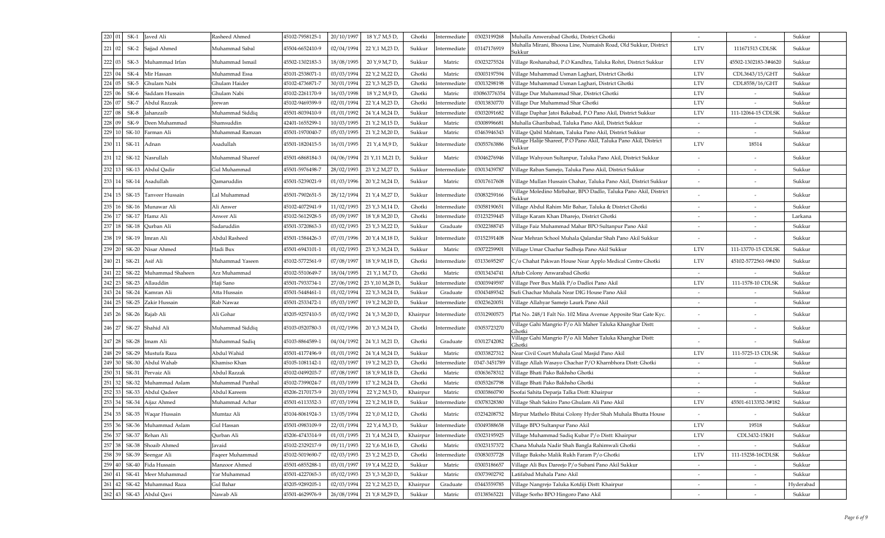| 220<br>01 | $SK-1$                      | Javed Ali                | Rasheed Ahmed    | 45102-7958125-1 | 20/10/1997 | 18 Y, 7 M, 5 D,                                   | Ghotki   | Intermediate | 03023199268  | Muhalla Anwerabad Ghotki, District Ghotki                                   | $\sim$                   | $\sim$               | Sukkur    |
|-----------|-----------------------------|--------------------------|------------------|-----------------|------------|---------------------------------------------------|----------|--------------|--------------|-----------------------------------------------------------------------------|--------------------------|----------------------|-----------|
| 221<br>02 |                             | SK-2 Sajjad Ahmed        | Muhammad Sabal   | 45504-6652410-9 | 02/04/1994 | 22 Y, 1 M, 23 D,                                  | Sukkur   | Intermediate | 03147176919  | Muhalla Mirani, Bhoosa Line, Numaish Road, Old Sukkur, District<br>Sukkur   | <b>LTV</b>               | 111671513 CDLSK      | Sukkur    |
| 222       |                             | SK-3 Muhammad Irfan      | Muhammad Ismail  | 45502-1302183-3 | 18/08/1995 | 20 Y, 9 M, 7 D,                                   | Sukkur   | Matric       | 03023275524  | Village Roshanabad, P.O Kandhra, Taluka Rohri, District Sukkur              | <b>LTV</b>               | 45502-1302183-3#4620 | Sukkur    |
| 223<br>04 | $SK-4$                      | Mir Hassan               | Muhammad Essa    | 45101-2538071-1 | 03/03/1994 | 22 Y, 2 M, 22 D,                                  | Ghotki   | Matric       | 03003197594  | Village Muhammad Usman Laghari, District Ghotki                             | <b>LTV</b>               | CDL3643/15/GHT       | Sukkur    |
| 224       | $SK-5$                      | Ghulam Nabi              | Ghulam Haider    | 45102-4736871-7 | 30/01/1994 | 22 Y, 3 M, 25 D,                                  | Ghotki   | Intermediat  | 03013298198  | Village Muhammad Usman Laghari, District Ghotki                             | <b>LTV</b>               | CDL8558/16/GHT       | Sukkur    |
| 225       | $SK-6$                      | Saddam Hussain           | Ghulam Nabi      | 45102-2261170-9 | 16/03/1998 | 18 Y, 2 M, 9 D,                                   | Ghotki   | Matric       | 030863776354 | Village Dur Muhammad Shar, District Ghotki                                  | <b>LTV</b>               |                      | Sukkur    |
| 226<br>07 | $SK-7$                      | Abdul Razzak             | Jeewan           | 45102-9469399-9 | 02/01/1994 | 22 Y, 4 M, 23 D,                                  | Ghotki   | Intermediate | 03013830770  | Village Dur Muhammad Shar Ghotki                                            | <b>LTV</b>               |                      | Sukkur    |
| 227<br>08 | $SK-8$                      | Jahanzaib                | Muhammad Siddiq  | 45501-8039410-9 | 01/01/1992 | 24 Y, 4 M, 24 D,                                  | Sukkur   | Intermediate | 03032091682  | Village Daphar Jatoi Bakabad, P.O Pano Akil, District Sukkur                | <b>LTV</b>               | 111-12064-15 CDLSK   | Sukkur    |
| 228<br>09 | $SK-9$                      | Deen Muhammad            | Shamsuddin       | 42401-1655299-1 | 10/03/1995 | 21 Y, 2 M, 15 D,                                  | Sukkur   | Matric       | 03008996681  | Muhalla Gharibabad, Taluka Pano Akil, District Sukkur                       |                          |                      | Sukkur    |
| 229       | <b>SK-10</b>                | Farman Ali               | Muhammad Ramzan  | 45501-1970040-7 | 05/03/1995 | 21 Y, 2 M, 20 D,                                  | Sukkur   | Matric       | 03463946343  | Village Qabil Mahtam, Taluka Pano Akil, District Sukkur                     | $\sim$                   |                      | Sukkur    |
| 230       | 11 SK-11 Adnan              |                          | Asadullah        | 45501-1820415-5 | 16/01/1995 | 21 Y, 4 M, 9 D,                                   | Sukkur   | Intermediate | 03055763886  | Village Halije Shareef, P.O Pano Akil, Taluka Pano Akil, District<br>Sukkur | <b>LTV</b>               | 18514                | Sukkur    |
| 231       | 12                          | SK-12 Nasrullah          | Muhammad Shareef | 45501-6868184-3 | 04/06/1994 | 21 Y, 11 M, 21 D,                                 | Sukkur   | Matric       | 03046276946  | illage Wahyoun Sultanpur, Taluka Pano Akil, District Sukkur                 |                          |                      | Sukkur    |
| 232       |                             | SK-13 Abdul Qadir        | Gul Muhammad     | 45501-5976498-7 | 28/02/1993 | 23 Y, 2 M, 27 D,                                  | Sukkur   | Intermediate | 03013439787  | Jillage Raban Samejo, Taluka Pano Akil, District Sukkur                     |                          |                      | Sukkur    |
| 233       | 14                          | SK-14 Asadullah          | Qamaruddin       | 45501-5239021-9 | 01/03/1996 | 20 Y, 2 M, 24 D,                                  | Sukkur   | Matric       | 03017617608  | Jillage Mullan Hussain Chahar, Taluka Pano Akil, District Sukkur            |                          |                      | Sukkur    |
| 234       |                             | 15 SK-15 Tanveer Hussain | Lal Muhammad     | 45501-7902651-5 | 28/12/1994 | 21 Y, 4 M, 27 D,                                  | Sukkur   | Intermediate | 03083259166  | Village Moledino Mirbahar, BPO Dadlo, Taluka Pano Akil, District<br>Sukkur  |                          |                      | Sukkur    |
| 235       |                             | SK-16 Munawar Ali        | Ali Anwer        | 45102-4072941-9 | 11/02/1993 | 23 Y, 3 M, 14 D                                   | Ghotki   | Intermediate | 0305819065   | Village Abdul Rahim Mir Bahar, Taluka & District Ghotki                     |                          |                      | Sukkur    |
| 236<br>17 |                             | SK-17 Hamz Ali           | Anwer Ali        | 45102-5612928-5 | 05/09/1997 | 18 Y, 8 M, 20 D                                   | Ghotki   | Intermediate | 03123259445  | Village Karam Khan Dharejo, District Ghotki                                 | $\overline{\phantom{a}}$ |                      | Larkana   |
| 237       | 18                          | SK-18 Qurban Ali         | Sadaruddin       | 45501-3720863-3 | 03/02/1993 | 23 Y, 3 M, 22 D,                                  | Sukkur   | Graduate     | 03022388745  | Village Faiz Muhammad Mahar BPO Sultanpur Pano Akil                         |                          |                      | Sukkur    |
| 238       |                             | 19 SK-19 Imran Ali       | Abdul Rasheed    | 45501-1584426-3 | 07/01/1996 | 20 Y, 4 M, 18 D,                                  | Sukkur   | Intermediate | 03152391408  | Near Mehran School Muhala Qalandar Shah Pano Akil Sukkur                    |                          |                      | Sukkur    |
| 239<br>20 |                             | SK-20 Nisar Ahmed        | Hadi Bux         | 45501-6943101-1 | 01/02/1993 | 23 Y, 3 M, 24 D,                                  | Sukkur   | Matric       | 03072259901  | Village Umar Chachar Sadhoja Pano Akil Sukkur                               | <b>LTV</b>               | 111-13770-15 CDLSK   | Sukkur    |
|           | 240   21   SK-21   Asif Ali |                          | Muhammad Yaseen  | 45102-5772561-9 | 07/08/1997 | 18 Y, 9 M, 18 D,                                  | Ghotki   | Intermediate | 03133695297  | C/o Chahat Pakwan House Near Applo Medical Centre Ghotki                    | <b>LTV</b>               | 45102-5772561-9#430  | Sukkur    |
| 241<br>22 |                             | SK-22 Muhammad Shaheen   | Arz Muhammad     | 45102-5510649-7 | 18/04/1995 | 21 Y <sub>1</sub> 1 M <sub>7</sub> D <sub>1</sub> | Ghotki   | Matric       | 03013434741  | Aftab Colony Anwarabad Ghotki                                               | $\overline{\phantom{a}}$ |                      | Sukkur    |
| 242<br>23 |                             | SK-23 Allauddin          | Haji Sano        | 45501-7933734-1 | 27/06/1992 | 23 Y, 10 M, 28 D                                  | Sukkur   | Intermediat  | 03003949597  | /illage Peer Bux Malik P/o Dadloi Pano Akil                                 | <b>LTV</b>               | 111-1578-10 CDLSK    | Sukkur    |
| 243       | 24 I                        | SK-24   Kamran Ali       | Atta Hussain     | 45501-5448461-1 | 01/02/1994 | 22 Y, 3 M, 24 D,                                  | Sukkur   | Graduate     | 03043489342  | Sufi Chachar Muhala Near DIG House Pano Akil                                |                          |                      | Sukkur    |
| 244       | 25 I                        | SK-25 Zakir Hussain      | Rab Nawaz        | 45501-2533472-1 | 05/03/1997 | 19 Y, 2 M, 20 D,                                  | Sukkur   | Intermediate | 03023620051  | Village Allahyar Samejo Laurk Pano Akil                                     | $\sim$                   |                      | Sukkur    |
| 245       | 26 I                        | SK-26 Rajab Ali          | Ali Gohar        | 45205-9257410-5 | 05/02/1992 | 24 Y, 3 M, 20 D,                                  | Khairpur | Intermediate | 03312900573  | Plat No. 248/1 Falt No. 102 Mina Avenue Apposite Star Gate Kyc.             |                          |                      | Sukkur    |
| 246       |                             | 27 SK-27 Shahid Ali      | Muhammad Siddiq  | 45103-0520780-3 | 01/02/1996 | 20 Y, 3 M, 24 D,                                  | Ghotki   | Intermediate | 03053723270  | Village Gahi Mangrio P/o Ali Maher Taluka Khanghar Distt:<br>Ghotki         |                          |                      | Sukkur    |
| 247       | 28                          | SK-28 Imam Ali           | Muhammad Sadiq   | 45103-8864589-1 | 04/04/1992 | 24 Y, 1 M, 21 D                                   | Ghotki   | Graduate     | 03012742082  | Village Gahi Mangrio P/o Ali Maher Taluka Khanghar Distt:<br>Ghotki         |                          |                      | Sukkur    |
| 248       | 29                          | SK-29 Mustufa Raza       | Abdul Wahid      | 45501-4177496-9 | 01/01/1992 | 24 Y, 4 M, 24 D,                                  | Sukkur   | Matric       | 03033827312  | Near Civil Court Muhala Goal Masjid Pano Akil                               | <b>LTV</b>               | 111-5725-13 CDLSK    | Sukkur    |
| 249       |                             | SK-30 Abdul Wahab        | Khamiso Khan     | 45105-1081142-1 | 02/03/1997 | 19 Y, 2 M, 23 D,                                  | Ghotki   | Intermediate | 0347-3451789 | Jillage Allah Wasayo Chachar P/O Kharnbhora Distt: Ghotki                   |                          |                      | Sukkur    |
| 250       |                             | SK-31 Pervaiz Ali        | Abdul Razzak     | 45102-0499203-7 | 07/08/1997 | 18 Y, 9 M, 18 D                                   | Ghotki   | Matric       | 03063678312  | Jillage Bhati Pako Bakhsho Ghotki                                           | $\overline{\phantom{a}}$ |                      | Sukkur    |
| 251       |                             | SK-32 Muhammad Aslam     | Muhammad Punhal  | 45102-7399024-7 | 01/03/1999 | 17 Y, 2 M, 24 D,                                  | Ghotki   | Matric       | 03053267798  | Village Bhati Pako Bakhsho Ghotki                                           |                          |                      | Sukkur    |
| 252       |                             | SK-33 Abdul Qadeer       | Abdul Kareem     | 45206-2170173-9 | 20/03/1994 | 22 Y, 2 M, 5 D,                                   | Khairpur | Matric       | 03003860790  | Soofai Sahita Deparja Talka Distt: Khairpur                                 |                          |                      | Sukkur    |
| 253       | 34                          | SK-34 Aijaz Ahmed        | Muhammad Achar   | 45501-6113352-3 | 07/03/1994 | 22 Y, 2 M, 18 D,                                  | Sukkur   | Intermediate | 03078328380  | Village Shah Sakiro Pano Ghulam Ali Pano Akil                               | <b>LTV</b>               | 45501-6113352-3#182  | Sukkur    |
| 254       | 35 I                        | SK-35   Waqar Hussain    | Mumtaz Ali       | 45104-8061924-3 | 13/05/1994 | 22 Y <sub>,0</sub> M,12 D                         | Ghotki   | Matric       | 03234208752  | Mirpur Mathelo Bhitai Colony Hyder Shah Muhala Bhutta House                 |                          |                      | Sukkur    |
| 255       |                             | SK-36 Muhammad Aslam     | Gul Hassan       | 45501-0983109-9 | 22/01/1994 | 22 Y, 4 M, 3 D,                                   | Sukkur   | Intermediate | 03049388658  | Village BPO Sultanpur Pano Akil                                             | <b>LTV</b>               | 19518                | Sukkur    |
| 256<br>37 | SK-37                       | Rehan Ali                | Qurban Ali       | 45206-4743314-9 | 01/01/1995 | 21 Y, 4 M, 24 D,                                  | Khairpur | Intermediate | 03023195925  | Village Muhammad Sadiq Kubar P/o Distt: Khairpur                            | <b>LTV</b>               | CDL3432-15KH         | Sukkur    |
| 257       |                             | SK-38 Shoaib Ahmed       | Javaid           | 15102-2329217-9 | 09/11/1993 | 22 Y, 6 M, 16 D,                                  | Ghotki   | Matric       | 03023157372  | Chana Muhala Nadir Shah Bangla Rahimwali Ghotki                             | $\blacksquare$           |                      | Sukkur    |
| 258       |                             | SK-39 Seengar Ali        | Faqeer Muhammad  | 45102-5019690-7 | 02/03/1993 | 23 Y, 2 M, 23 D,                                  | Ghotki   | Intermediat  | 03083037728  | Village Baksho Malik Rukh Faram P/o Ghotki                                  | <b>LTV</b>               | 111-15238-16CDLSK    | Sukkur    |
| 259<br>40 | SK-40                       | Fida Hussain             | Manzoor Ahmed    | 45501-6855288-1 | 03/01/1997 | 19 Y, 4 M, 22 D,                                  | Sukkur   | Matric       | 03003186657  | Village Ali Bux Dareejo P/o Subani Pano Akil Sukkur                         |                          |                      | Sukkur    |
| 260<br>41 |                             | SK-41 Meer Muhammad      | Yar Muhammad     | 45501-4227065-3 | 05/02/1993 | 23 Y, 3 M, 20 D                                   | Sukkur   | Matric       | 03073902792  | Latifabad Muhala Pano Akil                                                  |                          |                      | Sukkur    |
| 261       |                             | SK-42 Muhammad Raza      | Gul Bahar        | 45205-9289205-1 | 02/03/1994 | 22 Y, 2 M, 23 D,                                  | Khairpur | Graduate     | 03443559785  | Village Nangrejo Taluka Kotdiji Distt: Khairpur                             |                          |                      | Hyderabad |
| 262       | 43                          | SK-43 Abdul Qavi         | Nawab Ali        | 45501-4629976-9 | 26/08/1994 | 21 Y, 8 M, 29 D,                                  | Sukkur   | Matric       | 03138565221  | Village Sorho BPO Hingoro Pano Akil                                         |                          |                      | Sukkur    |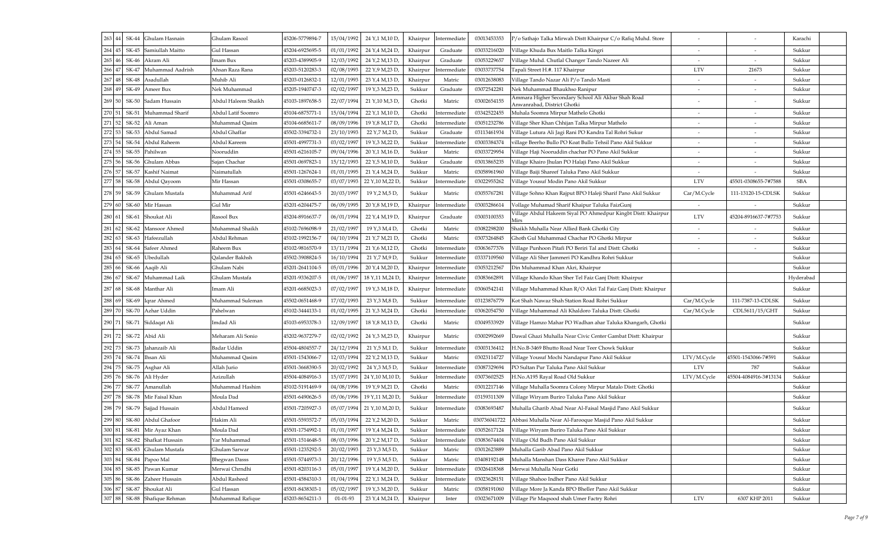| 263<br>44   |       | SK-44 Ghulam Hasnain     | Ghulam Rasool        | 45206-5779894-7 | 15/04/1992 | 24 Y,1 M,10 D,                                       | Khairpur | Intermediate          | 03013453353  | P/o Sathajo Talka Mirwah Distt Khairpur C/o Rafiq Muhd. Store                     |                          |                          | Karachi    |
|-------------|-------|--------------------------|----------------------|-----------------|------------|------------------------------------------------------|----------|-----------------------|--------------|-----------------------------------------------------------------------------------|--------------------------|--------------------------|------------|
| 264<br>45   |       | SK-45 Samiullah Maitto   | Gul Hassan           | 45204-6925695-5 | 01/01/1992 | 24 Y, 4 M, 24 D,                                     | Khairpur | Graduate              | 03033216020  | Village Khuda Bux Maitlo Talka Kingri                                             |                          |                          | Sukkur     |
| 265         |       | 46 SK-46 Akram Ali       | Imam Bux             | 45203-4389905-9 | 12/03/1992 | 24 Y, 2 M, 13 D,                                     | Khairpur | Graduate              | 03053229657  | Village Muhd. Chutlal Changer Tando Nazeer Ali                                    | $\blacksquare$           |                          | Sukkur     |
| 266         |       | SK-47 Muhammad Aadrish   | Ahsan Raza Rana      | 45203-5120283-3 | 02/08/1993 | 22 Y, 9 M, 23 D,                                     | Khairpur | Intermediat           | 03033737754  | Fapali Street H.#. 117 Khairpur                                                   | <b>LTV</b>               | 21673                    | Sukkur     |
| 267<br>48   |       | SK-48 Asadullah          | Muhib Ali            | 45203-0126832-1 | 12/01/1993 | 23 Y, 4 M, 13 D,                                     | Khairpur | Matric                | 03012638083  | Village Tando Nazar Ali P/o Tando Masti                                           |                          |                          | Sukkur     |
| 268<br>49   |       | SK-49 Ameer Bux          | Nek Muhammad         | 45205-1940747-3 | 02/02/1997 | 19 Y, 3 M, 23 D,                                     | Sukkur   | Graduate              | 0307254228   | Nek Muhammad Bhaukhso Ranipur                                                     | $\overline{\phantom{a}}$ | $\overline{\phantom{0}}$ | Sukkur     |
| 269         | 50 L  | SK-50 Sadam Hussain      | Abdul Haleem Shaikh  | 45103-1897658-5 | 22/07/1994 | 21 Y, 10 M, 3 D,                                     | Ghotki   | Matric                | 03002654155  | Ammara Higher Secondary School Ali Akbar Shah Road<br>Anwanrabad, District Ghotki |                          |                          | Sukkur     |
| 270         |       | SK-51 Muhammad Sharif    | Abdul Latif Soomro   | 45104-6875771-1 | 15/04/1994 | 22 Y <sub>1</sub> 1 M <sub>1</sub> 10 D <sub>1</sub> | Ghotki   | Intermediate          | 03342522455  | Muhala Soomra Mirpur Mathelo Ghotki                                               |                          |                          | Sukkur     |
| 271         |       | SK-52 Ali Aman           | Muhammad Qasim       | 45104-6685611-7 | 08/09/1996 | 19 Y, 8 M, 17 D,                                     | Ghotki   | Intermediate          | 03051232786  | Village Sher Khan Chhijan Talka Mirpur Mathelo                                    | $\blacksquare$           |                          | Sukkur     |
| 272         |       | SK-53 Abdul Samad        | Abdul Ghaffar        | 45502-3394732-1 | 23/10/1993 | 22 Y, 7 M, 2 D,                                      | Sukkur   | Graduate              | 03113461934  | Village Lutura Ali Jagi Rani PO Kandra Tal Rohri Sukur                            |                          |                          | Sukkur     |
| 273<br>54   |       | SK-54 Abdul Raheem       | Abdul Kareem         | 45501-4997731-3 | 03/02/1997 | 19 Y, 3 M, 22 D,                                     | Sukkur   | Intermediate          | 03003384374  | village Beerho Bullo PO Koat Bullo Tehsil Pano Akil Sukkur                        | $\overline{\phantom{a}}$ |                          | Sukkur     |
| 274<br>55   |       | SK-55 Pahilwan           | Nooruddin            | 45501-6216105-7 | 09/04/1996 | 20 Y,1 M,16 D,                                       | Sukkur   | Matric                | 03033729954  | Village Haji Nooruddin chachar PO Pano Akil Sukkur                                |                          |                          | Sukkur     |
| 275<br>56   |       | SK-56 Ghulam Abbas       | Sajan Chachar        | 45501-0697823-1 | 15/12/1993 | 22 Y <sub>7</sub> 5 M <sub>7</sub> 10 D <sub>1</sub> | Sukkur   | Graduate              | 03013865235  | Village Khairo Jhulan PO Halaji Pano Akil Sukkur                                  |                          |                          | Sukkur     |
| 276<br>57   |       | SK-57 Kashif Naimat      | Naimatullah          | 45501-1267624-1 | 01/01/1995 | 21 Y, 4 M, 24 D,                                     | Sukkur   | Matric                | 03058961960  | Village Baiji Shareef Taluka Pano Akil Sukkur                                     |                          |                          | Sukkur     |
| 277         |       | SK-58 Abdul Qayoom       | Mir Hassan           | 45501-0308655-7 | 03/07/1993 | 22 Y, 10 M, 22 D,                                    | Sukkur   | Intermediat           | 03022955262  | Village Yousuf Modin Pano Akil Sukkur                                             | <b>LTV</b>               | 45501-0308655-7#7588     | <b>SBA</b> |
| 278         |       | 59 SK-59 Ghulam Mustafa  | Muhammad Arif        | 45501-6246643-5 | 20/03/1997 | 19 Y, 2 M, 5 D,                                      | Sukkur   | Matric                | 0305576728   | Village Sohno Khan Rajput BPO Haleji Sharif Pano Akil Sukkur                      | Car/M.Cycle              | 111-13120-15-CDLSK       | Sukkur     |
| 279<br>60   |       | SK-60 Mir Hassan         | Gul Mir              | 45201-6204475-7 | 06/09/1995 | 20 Y,8 M,19 D,                                       | Khairpur | Intermediate          | 03003286614  | Vollage Muhamad Sharif Khaipur Taluka FaizGunj                                    | $\sim$                   |                          | Sukkur     |
|             |       | 280 61 SK-61 Shoukat Ali | Rasool Bux           | 45204-8916637-7 | 06/01/1994 | 22 Y, 4 M, 19 D,                                     | Khairpur | Graduate              | 03003100353  | Village Abdul Hakeem Siyal PO Ahmedpur Kingbt Distt: Khairpur<br>Mirs             | <b>LTV</b>               | 45204-8916637-7#7753     | Sukkur     |
| 281<br>62   |       | SK-62 Mansoor Ahmed      | Muhammad Shaikh      | 45102-7696098-9 | 21/02/1997 | 19 Y, 3 M, 4 D,                                      | Ghotki   | Matric                | 03082298200  | Shaikh Muhalla Near Allied Bank Ghotki City                                       | $\overline{\phantom{a}}$ |                          | Sukkur     |
| 282         | SK-63 | Hafeezullah              | Abdul Rehman         | 45102-1992156-7 | 04/10/1994 | 21 Y,7 M,21 D                                        | Ghotki   | Matric                | 03073264845  | Ghoth Gul Muhammad Chachar PO Ghotki Mirpur                                       |                          |                          | Sukkur     |
| 283 64      |       | SK-64 Safeer Ahmed       | Raheem Bux           | 45102-9816570-9 | 13/11/1994 | 21 Y,6 M,12 D                                        | Ghotki   | Intermediate          | 03063677376  | Village Punhoon Pitafi PO Beriri Tal and Distt: Ghotki                            |                          |                          | Sukkur     |
| 284<br>65   | SK-65 | Ubedullah                | Qalander Bakhsh      | 15502-3908824-5 | 16/10/1994 | 21 Y,7 M,9 D,                                        | Sukkur   | Intermediate          | 03337109560  | Jillage Ali Sher Jammeri PO Kandhra Rohri Sukkur                                  |                          |                          | Sukkur     |
|             |       | 285 66 SK-66 Aaqib Ali   | Ghulam Nabi          | 45201-2641104-5 | 05/01/1996 | 20 Y,4 M,20 D,                                       |          | Khairpur Intermediate | 03053212567  | Din Muhammad Khan Akri, Khairpur                                                  |                          |                          | Sukkur     |
| 286<br>67   |       | SK-67 Muhammad Laik      | Ghulam Mustafa       | 45201-9336207-5 | 01/06/1997 | 18 Y, 11 M, 24 D,                                    |          | Khairpur Intermediate | 03083662891  | Village Khando Khan Sher Tel Faiz Ganj Distt: Khairpur                            |                          |                          | Hyderabad  |
|             |       | 287 68 SK-68 Manthar Ali | Imam Ali             | 45201-6685023-3 | 07/02/1997 | 19 Y, 3 M, 18 D,                                     |          | Khairpur Intermediate | 03060542141  | Village Muhammad Khan R/O Akri Tal Faiz Ganj Distt: Khairpur                      |                          |                          | Sukkur     |
| 288<br>69   |       | SK-69 Igrar Ahmed        | Muhammad Suleman     | 45502-0651468-9 | 17/02/1993 | 23 Y, 3 M, 8 D,                                      | Sukkur   | Intermediate          | 03123876779  | Kot Shah Nawaz Shah Station Road Rohri Sukkur                                     | Car/M.Cycle              | 111-7387-13-CDLSK        | Sukkur     |
| 289<br>70 l |       | SK-70 Azhar Uddin        | Pahelwan             | 45102-3444133-1 | 01/02/1995 | 21 Y, 3 M, 24 D,                                     | Ghotki   | Intermediate          | 03062054750  | Village Muhammad Ali Khaldoro Taluka Distt: Ghotki                                | Car/M.Cycle              | CDL5611/15/GHT           | Sukkur     |
| 290         |       | 71 SK-71 Siddaqat Ali    | Imdad Ali            | 45103-6953378-3 | 12/09/1997 | 18 Y, 8 M, 13 D,                                     | Ghotki   | Matric                | 03049533929  | Village Hamzo Mahar PO Wadhan ahar Taluka Khangarh, Ghotki                        |                          |                          | Sukkur     |
| 291         |       | 72 SK-72 Abid Ali        | Meharam Ali Sonio    | 45202-9637279-7 | 02/02/1992 | 24 Y, 3 M, 23 D,                                     | Khairpur | Matric                | 03002992669  | Dawal Ghazi Muhalla Near Civic Center Gambat Distt: Khairpur                      |                          |                          | Sukkur     |
| 292<br>73   |       | SK-73 Jahanzaib Ali      | Badar Uddin          | 45504-4804557-7 | 24/12/1994 | 21 Y,5 M,1 D,                                        | Sukkur   | Intermediate          | 03003136412  | H.No.B-3469 Bhutto Road Near Teer Chowk Sukkur                                    |                          |                          | Sukkur     |
| 293         | 74    | SK-74 Ihsan Ali          | Muhammad Qasim       | 45501-1543066-7 | 12/03/1994 | 22 Y, 2 M, 13 D,                                     | Sukkur   | Matric                | 03023114727  | Village Yousuf Mochi Nandapur Pano Akil Sukkur                                    | LTV/M.Cycle              | 45501-1543066-7#591      | Sukkur     |
| 294<br>75   |       | SK-75 Asghar Ali         | Allah Jurio          | 45501-3668390-5 | 20/02/1992 | 24 Y, 3 M, 5 D,                                      | Sukkur   | Intermediate          | 03087329694  | PO Sultan Pur Taluka Pano Akil Sukkur                                             | <b>LTV</b>               | 787                      | Sukkur     |
| 295         | 76    | SK-76 Ali Hyder          | Azizullah            | 45504-4084916-3 | 15/07/1991 | 24 Y, 10 M, 10 D,                                    | Sukkur   | Intermediat           | 03073602525  | H.No.A195 Rayal Road Old Sukkur                                                   | LTV/M.Cycle              | 45504-4084916-3#1313     | Sukkur     |
| 296<br>77   |       | SK-77 Amanullah          | Muhammad Hashim      | 45102-5191469-9 | 04/08/1996 | 19 Y, 9 M, 21 D,                                     | Ghotki   | Matric                | 03012217146  | Village Muhalla Soomra Colony Mirpur Matalo Distt: Ghotki                         |                          |                          | Sukkur     |
| 297         | 78    | SK-78 Mir Faisal Khan    | Moula Dad            | 45501-6490626-5 | 05/06/1996 | 19 Y, 11 M, 20 D,                                    | Sukkur   | Intermediate          | 03159311309  | Village Wiryam Buriro Taluka Pano Akil Sukkur                                     |                          |                          | Sukkur     |
| 298         | 79    | SK-79 Sajjad Hussain     | Abdul Hameed         | 45501-7205927-3 | 05/07/1994 | 21 Y, 10 M, 20 D,                                    | Sukkur   | Intermediate          | 03083693487  | Muhalla Gharib Abad Near Al-Faisal Masjid Pano Akil Sukkur                        |                          |                          | Sukkur     |
| 299<br>80   |       | SK-80 Abdul Ghafoor      | Hakim Ali            | 45501-5593572-7 | 05/03/1994 | 22 Y, 2 M, 20 D,                                     | Sukkur   | Matric                | 030736041722 | Abbasi Muhalla Near Al-Farooque Masjid Pano Akil Sukkur                           |                          |                          | Sukkur     |
| 300         |       | 81 SK-81 Mir Ayaz Khan   | Moula Dad            | 45501-1754992-1 | 01/01/1997 | 19 Y, 4 M, 24 D,                                     | Sukkur   | Intermediate          | 03052617124  | Village Wiryam Buriro Taluka Pano Akil Sukkur                                     |                          |                          | Sukkur     |
| 301<br>82   |       | SK-82 Shafkat Hussain    | Yar Muhammad         | 45501-1514648-5 | 08/03/1996 | 20 Y, 2 M, 17 D,                                     | Sukkur   | Intermediate          | 03083674404  | Village Old Budh Pano Akil Sukkur                                                 |                          |                          | Sukkur     |
| 302<br>83   |       | SK-83 Ghulam Mustafa     | Ghulam Sarwar        | 45501-1235292-5 | 20/02/1993 | 23 Y, 3 M, 5 D,                                      | Sukkur   | Matric                | 03012623889  | Muhalla Garib Abad Pano Akil Sukkur                                               |                          |                          | Sukkur     |
| 303 84      |       | SK-84 Papoo Mal          | <b>Bhegwan Dasss</b> | 45501-5744973-3 | 20/12/1996 | 19 Y,5 M,5 D,                                        | Sukkur   | Matric                | 03408192148  | Muhalla Manshan Dass Kharee Pano Akil Sukkur                                      |                          |                          | Sukkur     |
| 304<br>85   |       | SK-85 Pawan Kumar        | Merwai Chrndhi       | 45501-8203116-3 | 05/01/1997 | 19 Y <sub>,</sub> 4 M,20 D                           | Sukkur   | Intermediat           | 03026418368  | Merwai Muhalla Near Gotki                                                         |                          |                          | Sukkur     |
| 305  <br>86 |       | SK-86 Zaheer Hussain     | Abdul Rasheed        | 45501-4584310-3 | 01/04/1994 | 22 Y, 1 M, 24 D,                                     | Sukkur   | Intermediate          | 03023628151  | Village Shahoo Indher Pano Akil Sukkur                                            |                          |                          | Sukkur     |
| 306<br>87   |       | SK-87 Shoukat Ali        | Gul Hassan           | 45501-8438303-1 | 05/02/1997 | 19 Y, 3 M, 20 D,                                     | Sukkur   | Matric                | 03058191060  | Village More Ja Kanda BPO Bheller Pano Akil Sukkur                                |                          |                          | Sukkur     |
| 307 88      |       | SK-88 Shafique Rehman    | Muhammad Rafique     | 45203-8654211-3 | 01-01-93   | 23 Y, 4 M, 24 D,                                     | Khairpur | Inter                 | 03023671009  | Village Pir Maqsood shah Umer Factry Rohri                                        | <b>LTV</b>               | 6307 KHP 2011            | Sukkur     |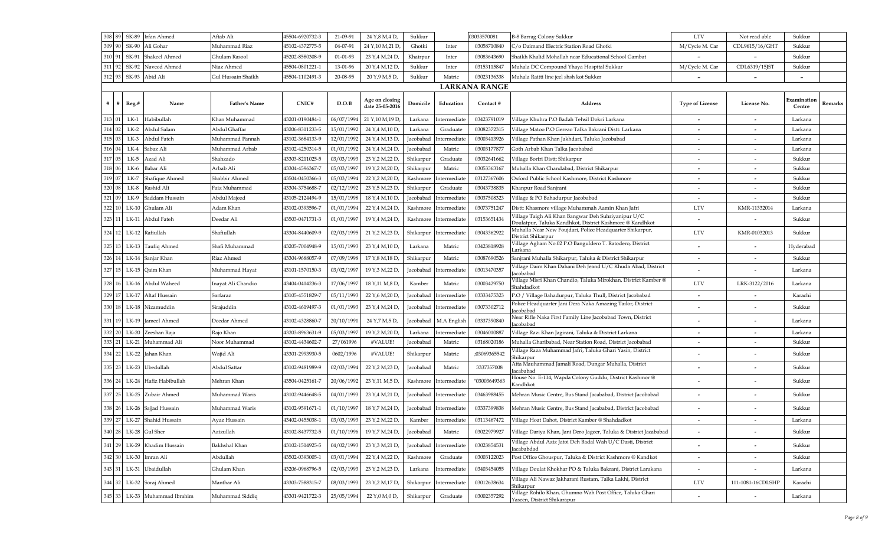| 308 89<br>SK-89                | Irfan Ahmed            | Aftab Ali            | 45504-6920732-3 | 21-09-91   | 24 Y,8 M,4 D,                     | Sukkur    |                        | 03033570081          | B-8 Barrag Colony Sukkur                                                                                        | <b>LTV</b>               | Not read able            | Sukkur                   |         |
|--------------------------------|------------------------|----------------------|-----------------|------------|-----------------------------------|-----------|------------------------|----------------------|-----------------------------------------------------------------------------------------------------------------|--------------------------|--------------------------|--------------------------|---------|
| 309<br>SK-90                   | Ali Gohar              | Muhammad Riaz        | 45102-4372775-5 | 04-07-91   | 24 Y, 10 M, 21 D,                 | Ghotki    | Inter                  | 03058710840          | C/o Daimand Electric Station Road Ghotki                                                                        | M/Cycle M. Car           | CDL9615/16/GHT           | Sukkur                   |         |
| 310 91<br>SK-91                | Shakeel Ahmed          | Ghulam Rasool        | 45202-8580308-9 | 01-01-93   | 23 Y, 4 M, 24 D,                  | Khairpur  | Inter                  | 03083643690          | Shaikh Khalid Mohallah near Educational School Gambat                                                           | $\overline{\phantom{m}}$ | $\overline{\phantom{0}}$ | Sukkur                   |         |
| SK-92<br>311 92                | Naveed Ahmed           | Niaz Ahmed           | 45504-0801221-1 | 13-01-96   | 20 Y, 4 M, 12 D,                  | Sukkur    | Inter                  | 03153115847          | Muhala DC Compound Yhaya Hospital Sukkur                                                                        | M/Cycle M. Car           | CDL6319/15JST            | Sukkur                   |         |
| 312 93                         | SK-93 Abid Ali         | Gul Hussain Shaikh   | 45504-1102491-3 | 20-08-95   | 20 Y, 9 M, 5 D,                   | Sukkur    | Matric                 | 03023136338          | Muhala Raitti line jeel shsh kot Sukker                                                                         | $\overline{\phantom{m}}$ |                          | $\overline{\phantom{m}}$ |         |
|                                |                        |                      |                 |            |                                   |           |                        | <b>LARKANA RANGE</b> |                                                                                                                 |                          |                          |                          |         |
| Reg.#<br>#<br># I              | Name                   | <b>Father's Name</b> | CNIC#           | D.O.B      | Age on closing<br>date 25-05-2016 | Domicile  | Education              | Contact #            | <b>Address</b>                                                                                                  | <b>Type of License</b>   | License No.              | Examination<br>Centre    | Remarks |
| 313<br>$LK-1$                  | Habibullah             | Khan Muhammad        | 43201-0190484-1 | 06/07/1994 | 21 Y, 10 M, 19 D,                 | Larkana   | Intermediate           | 03423791019          | illage Khuhra P.O Badah Tehsil Dokri Larkana                                                                    | $\tilde{\phantom{a}}$    |                          | Larkana                  |         |
| 314 02<br>$LK-2$               | Abdul Salam            | Abdul Ghaffar        | 43206-8311233-5 | 15/01/1992 | 24 Y, 4 M, 10 D,                  | Larkana   | Graduate               | 03082372315          | Village Matoo P.O Gereao Talka Bakrani Distt: Larkana                                                           |                          |                          | Larkana                  |         |
| 315 03<br>LK-3                 | Abdul Fateh            | Muhammad Pannah      | 43102-3684133-9 | 12/01/1992 | 24 Y, 4 M, 13 D,                  | Jacobabad | Intermediat            | 03003413926          | Village Pathan Khan Jakhdari, Taluka Jacobabad                                                                  |                          |                          | Larkana                  |         |
| 316 04<br>LK-4                 | Sabaz Ali              | Muhammad Arbab       | 43102-4250314-5 | 01/01/1992 | 24 Y, 4 M, 24 D,                  | Jacobabad | Matric                 | 03003177877          | Goth Arbab Khan Talka Jacobabad                                                                                 |                          |                          | Larkana                  |         |
| 317<br>$\rm LK\text{-}5$       | Azad Ali               | Shahzado             | 43303-8211025-5 | 03/03/1993 | 23 Y, 2 M, 22 D,                  | Shikarpur | Graduate               | 03032641662          | Village Boriri Distt; Shikarpur                                                                                 |                          |                          | Sukkur                   |         |
| 318<br>$LK-6$                  | Babar Ali              | Arbab Ali            | 43304-4596367-7 | 05/03/1997 | 19 Y, 2 M, 20 D                   | Shikarpur | Matric                 | 03053363167          | Muhalla Khan Chandabad, District Shikarpur                                                                      |                          |                          | Sukkur                   |         |
| 319<br>$LK-7$                  | Shafique Ahmed         | Shabbir Ahmed        | 43504-0450366-3 | 05/03/1994 | 22 Y, 2 M, 20 D,                  | Kashmore  | Intermediat            | 03127367606          | Oxford Public School Kashmore, District Kashmore                                                                |                          |                          | Sukkur                   |         |
| 320<br>$LK-8$                  | Rashid Ali             | Faiz Muhammad        | 43304-3754688-7 | 02/12/1992 | 23 Y,5 M,23 D,                    | Shikarpur | Graduate               | 03043738835          | Khanpur Road Sanjrani                                                                                           |                          |                          | Sukkur                   |         |
| 321<br>LK-9                    | Saddam Hussain         | Abdul Majeed         | 43105-2124494-9 | 15/01/1998 | 18 Y, 4 M, 10 D,                  |           | Jacobabad Intermediate | 03037508323          | Village & PO Bahadurpur Jacobabad                                                                               |                          |                          | Sukkur                   |         |
| 322<br>$LK-10$                 | Ghulam Ali             | Adam Khan            | 43102-0393596-7 | 01/01/1994 | 22 Y, 4 M, 24 D,                  | Kashmore  | Intermediate           | 03073751247          | Distt: Khasmore village Muhammah Aamin Khan Jafri                                                               | <b>LTV</b>               | KMR-11332014             | Larkana                  |         |
| 323                            | LK-11 Abdul Fateh      | Deedar Ali           | 43503-0471731-3 | 01/01/1997 | 19 Y, 4 M, 24 D,                  |           | Kashmore Intermediate  | 03153651434          | Village Taigh Ali Khan Bangwar Deh Suhriyanipur U/C<br>Doulatpur, Taluka Kandhkot, District Kashmore @ Kandhkot |                          |                          | Sukkur                   |         |
| 324                            | LK-12 Rafiullah        | Shafiullah           | 43304-8440609-9 | 02/03/1995 | 21 Y, 2 M, 23 D,                  | Shikarpur | Intermediate           | 03043362922          | Muhalla Near New Foujdari, Police Headquarter Shikarpur,<br>District Shikarpur                                  | <b>LTV</b>               | KMR-01032013             | Sukkur                   |         |
| 325 13                         | LK-13 Taufiq Ahmed     | Shafi Muhammad       | 43205-7004948-9 | 15/01/1993 | 23 Y, 4 M, 10 D,                  | Larkana   | Matric                 | 03423818928          | Village Agham No.02 P.O Banguldero T. Ratodero, District<br>Larkana                                             |                          |                          | Hyderabad                |         |
| 326                            | LK-14 Sanjar Khan      | Riaz Ahmed           | 43304-9688057-9 | 07/09/1998 | 17 Y,8 M,18 D,                    | Shikarpur | Matric                 | 03087690526          | Sanjrani Muhalla Shikarpur, Taluka & District Shikarpur                                                         | $\qquad \qquad$          |                          | Sukkur                   |         |
| 327                            | LK-15 Qaim Khan        | Muhammad Hayat       | 43101-1570150-3 | 03/02/1997 | 19 Y, 3 M, 22 D,                  |           | Jacobabad Intermediate | 03013470357          | Village Daim Khan Dahani Deh Jeand U/C Khuda Abad, District<br>Jacobabad                                        |                          |                          | Larkana                  |         |
| 328                            | LK-16 Abdul Waheed     | Inayat Ali Chandio   | 43404-0414236-3 | 17/06/1997 | 18 Y, 11 M, 8 D,                  | Kamber    | Matric                 | 03003429750          | Village Misri Khan Chandio, Taluka Mirokhan, District Kamber @<br>Shahdadkot                                    | <b>LTV</b>               | LRK-3122/2016            | Larkana                  |         |
| 329                            | LK-17 Altaf Hussain    | Sarfaraz             | 43105-4551829-7 | 05/11/1993 | 22 Y,6 M,20 D,                    | Jacobabad | Intermediate           | 03333475323          | P.O / Village Bahadurpur, Taluka Thull, District Jacobabad                                                      |                          |                          | Karachi                  |         |
| 330 <sub>1</sub>               | LK-18 Nizamuddin       | Sirajuddin           | 43102-4619497-3 | 01/01/1993 | 23 Y, 4 M, 24 D,                  |           | Jacobabad Intermediate | 03073302712          | Police Headquarter Jani Dera Naka Amazing Tailor, District<br>Jacobabad                                         |                          |                          | Sukkur                   |         |
| 331                            | LK-19 Jameel Ahmed     | Deedar Ahmed         | 43102-4328860-7 | 20/10/1991 | 24 Y,7 M,5 D,                     | Jacobabad | M.A English            | 03337390840          | Near Rifle Naka First Family Line Jacobabad Town, District<br>Jacobabad                                         |                          |                          | Larkana                  |         |
| 332                            | LK-20 Zeeshan Raja     | Rajo Khan            | 43203-8963631-9 | 05/03/1997 | 19 Y, 2 M, 20 D,                  | Larkana   | Intermediat            | 03046010887          | Village Razi Khan Jagirani, Taluka & District Larkana                                                           |                          |                          | Larkana                  |         |
| 333                            | LK-21 Muhammad Ali     | Noor Muhammad        | 43102-4434602-7 | 27/061996  | #VALUE!                           | Jacobabad | Matric                 | 03168020186          | Muhalla Gharibabad, Near Station Road, District Jacobabad                                                       |                          |                          | Sukkur                   |         |
| 334 22                         | LK-22 Jahan Khan       | Wajid Ali            | 43301-2993930-5 | 0602/1996  | #VALUE!                           | Shikarpur | Matric                 | ;03069365542         | Village Raza Muhammad Jafri, Taluka Ghari Yasin, District<br>Shikarpur                                          |                          |                          | Sukkur                   |         |
| 335 23                         | LK-23 Ubedullah        | Abdul Sattar         | 43102-9481989-9 | 02/03/1994 | 22 Y, 2 M, 23 D,                  | Jacobabad | Matric                 | 3337357008           | Atta Mauhammad Jamali Road, Dungar Muhalla, District<br>Jacababad                                               |                          |                          | Sukkur                   |         |
| 336 24                         | LK-24 Hafiz Habibullah | Mehran Khan          | 43504-0425161-7 | 20/06/1992 | 23 Y,11 M,5 D,                    |           | Kashmore Intermediate  | "03003649363         | House No. E-114, Wapda Colony Guddu, District Kashmor @<br>Kandhkot                                             |                          |                          | Sukkur                   |         |
| 337                            | LK-25 Zubair Ahmed     | Muhammad Waris       | 43102-9446648-5 | 04/01/1993 | 23 Y, 4 M, 21 D,                  | Jacobabad | Intermediate           | 03463988455          | Mehran Music Centre, Bus Stand Jacababad, District Jacobabad                                                    |                          |                          | Sukkur                   |         |
| 338                            | LK-26 Sajjad Hussain   | Muhammad Waris       | 43102-9591671-1 | 01/10/1997 | 18 Y, 7 M, 24 D,                  | Jacobabad | Intermediate           | 03337399838          | Mehran Music Centre, Bus Stand Jacababad, District Jacobabad                                                    |                          |                          | Sukkur                   |         |
| 339                            | LK-27 Shahid Hussain   | Ayaz Hussain         | 43402-0455038-1 | 03/03/1993 | 23 Y, 2 M, 22 D,                  | Kamber    | Intermediate           | 03113467472          | Village Hoat Dahot, District Kamber @ Shahdadkot                                                                | $\overline{\phantom{a}}$ |                          | Larkana                  |         |
| 340   28                       | $LK-28$ Gul Sher       | Azizullah            | 43102-8437732-5 | 01/10/1996 | 19 Y, 7 M, 24 D,                  | Jacobabad | Matric                 | 03022979927          | Village Dariya Khan, Jani Dero Jageer, Taluka & District Jacababad                                              |                          |                          | Sukkur                   |         |
| 341   29                       | LK-29 Khadim Hussain   | Bakhshal Khan        | 43102-1514925-5 | 04/02/1993 | 23 Y, 3 M, 21 D,                  | Jacobabad | Intermediat            | 03023854531          | Village Abdul Aziz Jatoi Deh Badal Wah U/C Dasti, District<br>Jacababdad                                        |                          |                          | Sukkur                   |         |
| 342                            | LK-30 Imran Ali        | Abdullah             | 43502-0393005-1 | 03/01/1994 | 22 Y,4 M,22 D,                    | Kashmore  | Graduate               | 03003122023          | Post Office Ghouspur, Taluka & District Kashmore @ Kandkot                                                      | $\qquad \qquad$          |                          | Sukkur                   |         |
| 343 31 LK-31 Ubaidullah        |                        | Ghulam Khan          | 43206-0968796-5 | 02/03/1993 | 23 Y, 2 M, 23 D,                  | Larkana   | Intermediate           | 03403454055          | Village Doulat Khokhar PO & Taluka Bakrani, District Larakana                                                   |                          |                          | Larkana                  |         |
| 344   32   LK-32   Soraj Ahmed |                        | Manthar Ali          | 43303-7588315-7 | 08/03/1993 | 23 Y, 2 M, 17 D,                  | Shikarpur | Intermediate           | 03012638634          | Jillage Ali Nawaz Jakharani Rustam, Talka Lakhi, District<br>Shikarpur                                          | <b>LTV</b>               | 111-1081-16CDLSHP        | Karachi                  |         |
| 345 33                         | LK-33 Muhammad Ibrahim | Muhammad Siddiq      | 43301-9421722-3 | 25/05/1994 | 22 Y, 0 M, 0 D,                   | Shikarpur | Graduate               | 03002357292          | Village Rohilo Khan, Ghumno Wah Post Office, Taluka Ghari<br>Yaseen, District Shikarapur                        |                          |                          | Larkana                  |         |